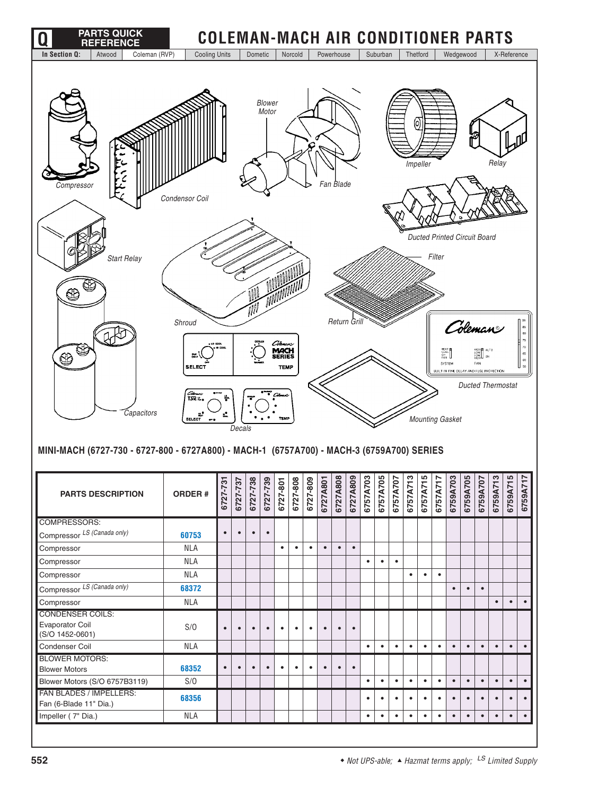| <b>PARTS QUICK</b><br><b>REFERENCE</b>                                                                            | <b>COLEMAN-MACH AIR CONDITIONER PARTS</b>                                     |           |           |           |                 |                                                        |           |           |            |           |             |                                  |           |           |                                |           |                                                  |           |           |                                                                                                         |           |                                                          |                                   |
|-------------------------------------------------------------------------------------------------------------------|-------------------------------------------------------------------------------|-----------|-----------|-----------|-----------------|--------------------------------------------------------|-----------|-----------|------------|-----------|-------------|----------------------------------|-----------|-----------|--------------------------------|-----------|--------------------------------------------------|-----------|-----------|---------------------------------------------------------------------------------------------------------|-----------|----------------------------------------------------------|-----------------------------------|
| In Section Q:<br>Coleman (RVP)<br>Atwood                                                                          | <b>Cooling Units</b>                                                          |           |           | Dometic   |                 |                                                        | Norcold   |           | Powerhouse |           |             |                                  | Suburban  |           | Thetford                       |           |                                                  | Wedgewood |           |                                                                                                         |           | X-Reference                                              |                                   |
| Compressor                                                                                                        | Condensor Coil                                                                |           |           |           | Blower<br>Motor |                                                        |           | c         |            | Fan Blade |             |                                  |           |           | $\odot$<br>Impeller            |           |                                                  |           |           |                                                                                                         | Relay     |                                                          |                                   |
| <b>Start Relay</b><br>Œ                                                                                           |                                                                               |           |           |           |                 |                                                        |           |           |            |           |             |                                  |           |           |                                |           | <b>Ducted Printed Circuit Board</b><br>Filter    |           |           |                                                                                                         |           |                                                          |                                   |
| C<br>☺<br>Capacitors<br>MINI-MACH (6727-730 - 6727-800 - 6727A800) - MACH-1 (6757A700) - MACH-3 (6759A700) SERIES | Shroud<br>an T<br><b>SELECT</b><br>Columbus<br>TSR 12,<br>щf<br><b>SELECT</b> |           | Decals    |           |                 | Cibran<br><b>MACH</b><br>SERIES<br><b>TEMP</b><br>TEMP |           |           |            |           | Return Gril |                                  |           |           |                                |           | HEAT<br>COOL<br>SYSTEM<br><b>Mounting Gasket</b> |           |           | Colemane<br>ိ‴   <br>  ON<br>FAN<br>BUILT IN TIME DELAY AND FUSE PROTECTION<br><b>Ducted Thermostat</b> |           |                                                          | ${\bf 75}$<br>85<br>$_{60}$<br>55 |
| <b>PARTS DESCRIPTION</b>                                                                                          | <b>ORDER#</b>                                                                 | 6727-73   | 6727-737  | 6727-738  | 6727-739        | 6727-801                                               | 6727-808  | 6727-809  | 6727A801   | 6727A808  |             | 6727A809<br>6757A703<br>6757A705 |           | 6757A707  | ო $\mid$ სი $\mid$<br>6757A713 | 6757A715  | 6757A717                                         |           |           |                                                                                                         |           | 6759A703<br>6759A705<br>6759A713<br>6759A715<br>6759A715 | 6759A71                           |
| <b>COMPRESSORS:</b>                                                                                               |                                                                               | $\bullet$ | $\bullet$ | $\bullet$ | $\bullet$       |                                                        |           |           |            |           |             |                                  |           |           |                                |           |                                                  |           |           |                                                                                                         |           |                                                          |                                   |
| Compressor LS (Canada only)                                                                                       | 60753                                                                         |           |           |           |                 |                                                        |           |           |            |           |             |                                  |           |           |                                |           |                                                  |           |           |                                                                                                         |           |                                                          |                                   |
| Compressor                                                                                                        | <b>NLA</b>                                                                    |           |           |           |                 | $\bullet$                                              | $\bullet$ | $\bullet$ | $\bullet$  | $\bullet$ | $\bullet$   |                                  |           |           |                                |           |                                                  |           |           |                                                                                                         |           |                                                          |                                   |
| Compressor                                                                                                        | <b>NLA</b>                                                                    |           |           |           |                 |                                                        |           |           |            |           |             | $\bullet$                        | $\bullet$ | $\bullet$ |                                |           |                                                  |           |           |                                                                                                         |           |                                                          |                                   |
| Compressor                                                                                                        | <b>NLA</b>                                                                    |           |           |           |                 |                                                        |           |           |            |           |             |                                  |           |           | $\bullet$                      | $\bullet$ | $\bullet$                                        |           |           |                                                                                                         |           |                                                          |                                   |
| Compressor LS (Canada only)                                                                                       | 68372                                                                         |           |           |           |                 |                                                        |           |           |            |           |             |                                  |           |           |                                |           |                                                  | $\bullet$ | $\bullet$ | $\bullet$                                                                                               |           |                                                          |                                   |
| Compressor<br><b>CONDENSER COILS:</b>                                                                             | <b>NLA</b>                                                                    |           |           |           |                 |                                                        |           |           |            |           |             |                                  |           |           |                                |           |                                                  |           |           |                                                                                                         | $\bullet$ | $\bullet$                                                | $\bullet$                         |
| Evaporator Coil<br>(S/O 1452-0601)                                                                                | S/O                                                                           | $\bullet$ | $\bullet$ | $\bullet$ | $\bullet$       | $\bullet$                                              | $\bullet$ | $\bullet$ | $\bullet$  | $\bullet$ | $\bullet$   |                                  |           |           |                                |           |                                                  |           |           |                                                                                                         |           |                                                          |                                   |
| Condenser Coil                                                                                                    | <b>NLA</b>                                                                    |           |           |           |                 |                                                        |           |           |            |           |             | $\bullet$                        | $\bullet$ | $\bullet$ | $\bullet$                      | $\bullet$ | $\bullet$                                        | $\bullet$ | $\bullet$ | $\bullet$                                                                                               | $\bullet$ | $\bullet$                                                | $\bullet$                         |
| <b>BLOWER MOTORS:</b>                                                                                             |                                                                               |           |           |           |                 |                                                        |           |           |            |           |             |                                  |           |           |                                |           |                                                  |           |           |                                                                                                         |           |                                                          |                                   |
| <b>Blower Motors</b>                                                                                              | 68352<br>S/O                                                                  | $\bullet$ | $\bullet$ | $\bullet$ | $\bullet$       | $\bullet$                                              | $\bullet$ | $\bullet$ | $\bullet$  | $\bullet$ | $\bullet$   | $\bullet$                        | $\bullet$ | $\bullet$ | $\bullet$                      | $\bullet$ | $\bullet$                                        | $\bullet$ | $\bullet$ | $\bullet$                                                                                               | $\bullet$ | $\bullet$                                                | $\bullet$                         |
| Blower Motors (S/O 6757B3119)<br>FAN BLADES / IMPELLERS:                                                          |                                                                               |           |           |           |                 |                                                        |           |           |            |           |             |                                  |           |           |                                |           |                                                  |           |           |                                                                                                         |           |                                                          |                                   |
| Fan (6-Blade 11" Dia.)                                                                                            | 68356                                                                         |           |           |           |                 |                                                        |           |           |            |           |             | $\bullet$                        | $\bullet$ | $\bullet$ | $\bullet$                      | $\bullet$ | $\bullet$                                        | $\bullet$ | $\bullet$ | $\bullet$                                                                                               | $\bullet$ | $\bullet$                                                | $\bullet$                         |
| Impeller (7" Dia.)                                                                                                | <b>NLA</b>                                                                    |           |           |           |                 |                                                        |           |           |            |           |             | ٠                                | $\bullet$ | $\bullet$ | $\bullet$                      | $\bullet$ | $\bullet$                                        | $\bullet$ | $\bullet$ | $\bullet$                                                                                               | $\bullet$ | $\bullet$                                                | $\bullet$                         |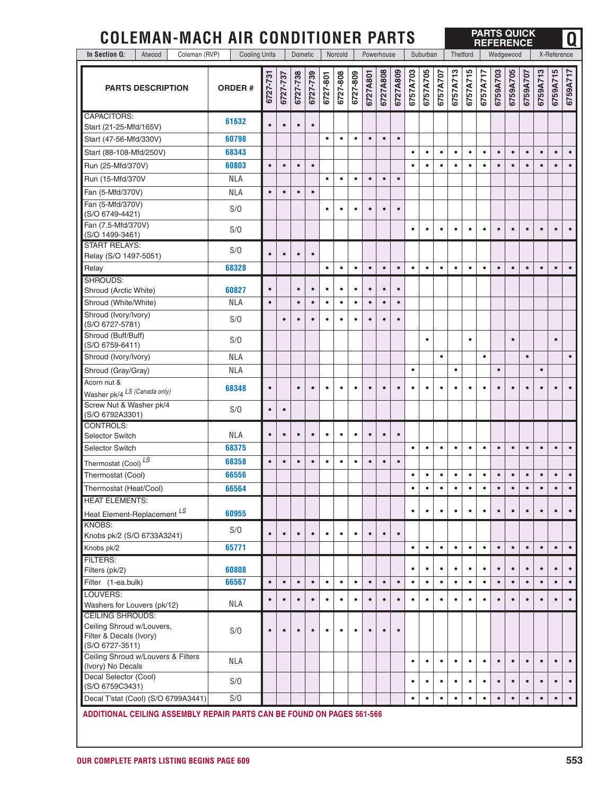| <b>COLEMAN-MACH AIR CONDITIONER PARTS</b>                               |                      |           |           |           |           |           |           |           |           |            |           |           |           |           |           |           | <b>REFERENCE</b> |           |           | <b>PARTS QUICK</b> |           |             | Q         |
|-------------------------------------------------------------------------|----------------------|-----------|-----------|-----------|-----------|-----------|-----------|-----------|-----------|------------|-----------|-----------|-----------|-----------|-----------|-----------|------------------|-----------|-----------|--------------------|-----------|-------------|-----------|
| In Section Q:<br>Coleman (RVP)<br>Atwood                                | <b>Cooling Units</b> |           |           | Dometic   |           |           | Norcold   |           |           | Powerhouse |           |           | Suburban  |           | Thetford  |           |                  | Wedgewood |           |                    |           | X-Reference |           |
| <b>PARTS DESCRIPTION</b>                                                | <b>ORDER#</b>        | 6727-731  | 6727-737  | 6727-738  | 6727-739  | 6727-801  | 6727-808  | 6727-809  | 6727A801  | 6727A808   | 6727A809  | 6757A703  | 6757A705  | 6757A707  | 6757A713  | 6757A715  | 6757A717         | 6759A703  | 6759A705  | 6759A707           | 6759A713  | 6759A715    | 6759A717  |
| <b>CAPACITORS:</b>                                                      | 61632                |           |           |           |           |           |           |           |           |            |           |           |           |           |           |           |                  |           |           |                    |           |             |           |
| Start (21-25-Mfd/165V)                                                  |                      | $\bullet$ | $\bullet$ | $\bullet$ | $\bullet$ |           |           |           |           |            |           |           |           |           |           |           |                  |           |           |                    |           |             |           |
| Start (47-56-Mfd/330V)                                                  | 60798                |           |           |           |           | $\bullet$ | $\bullet$ | $\bullet$ |           | $\bullet$  | $\bullet$ |           |           |           |           |           |                  |           |           |                    |           |             |           |
| Start (88-108-Mfd/250V)                                                 | 68343                |           |           |           |           |           |           |           |           |            |           | $\bullet$ | $\bullet$ | $\bullet$ | $\bullet$ | $\bullet$ | $\bullet$        | $\bullet$ | $\bullet$ | $\bullet$          | $\bullet$ | $\bullet$   | $\bullet$ |
| Run (25-Mfd/370V)                                                       | 60803                | $\bullet$ | $\bullet$ | $\bullet$ | $\bullet$ |           |           |           |           |            |           | $\bullet$ | $\bullet$ | $\bullet$ | $\bullet$ | $\bullet$ | ٠                | $\bullet$ | $\bullet$ | $\bullet$          | $\bullet$ | $\bullet$   | $\bullet$ |
| Run (15-Mfd/370V                                                        | <b>NLA</b>           |           |           |           |           | $\bullet$ | $\bullet$ | $\bullet$ | $\bullet$ | $\bullet$  | $\bullet$ |           |           |           |           |           |                  |           |           |                    |           |             |           |
| Fan (5-Mfd/370V)                                                        | <b>NLA</b>           | $\bullet$ | $\bullet$ | $\bullet$ | $\bullet$ |           |           |           |           |            |           |           |           |           |           |           |                  |           |           |                    |           |             |           |
| Fan (5-Mfd/370V)<br>(S/O 6749-4421)                                     | S/O                  |           |           |           |           | $\bullet$ | $\bullet$ | $\bullet$ | $\bullet$ | $\bullet$  | $\bullet$ |           |           |           |           |           |                  |           |           |                    |           |             |           |
| Fan (7.5-Mfd/370V)<br>(S/O 1499-3461)                                   | S/O                  |           |           |           |           |           |           |           |           |            |           | ٠         | $\bullet$ | $\bullet$ | $\bullet$ | $\bullet$ | ٠                | $\bullet$ | $\bullet$ | $\bullet$          | $\bullet$ | $\bullet$   |           |
| <b>START RELAYS:</b><br>Relay (S/O 1497-5051)                           | S/O                  | $\bullet$ | $\bullet$ | $\bullet$ | $\bullet$ |           |           |           |           |            |           |           |           |           |           |           |                  |           |           |                    |           |             |           |
| Relay                                                                   | 68328                |           |           |           |           | $\bullet$ | $\bullet$ | $\bullet$ | $\bullet$ | $\bullet$  | $\bullet$ | $\bullet$ | $\bullet$ | $\bullet$ | $\bullet$ | $\bullet$ | $\bullet$        | $\bullet$ | $\bullet$ | $\bullet$          | $\bullet$ | $\bullet$   | $\bullet$ |
| SHROUDS:                                                                |                      |           |           |           |           |           |           |           |           |            |           |           |           |           |           |           |                  |           |           |                    |           |             |           |
| Shroud (Arctic White)                                                   | 60827                | $\bullet$ |           | $\bullet$ | $\bullet$ | $\bullet$ | $\bullet$ | $\bullet$ | $\bullet$ | $\bullet$  | $\bullet$ |           |           |           |           |           |                  |           |           |                    |           |             |           |
| Shroud (White/White)                                                    | <b>NLA</b>           | $\bullet$ |           | $\bullet$ | $\bullet$ | $\bullet$ | $\bullet$ | $\bullet$ | $\bullet$ | $\bullet$  | $\bullet$ |           |           |           |           |           |                  |           |           |                    |           |             |           |
| Shroud (Ivory/Ivory)<br>(S/O 6727-5781)                                 | S/O                  |           | $\bullet$ | $\bullet$ | $\bullet$ | ٠         | $\bullet$ | $\bullet$ | $\bullet$ | $\bullet$  | $\bullet$ |           |           |           |           |           |                  |           |           |                    |           |             |           |
| Shroud (Buff/Buff)<br>(S/O 6759-6411)                                   | S/O                  |           |           |           |           |           |           |           |           |            |           |           | $\bullet$ |           |           | $\bullet$ |                  |           | $\bullet$ |                    |           | $\bullet$   |           |
| Shroud (Ivory/Ivory)                                                    | <b>NLA</b>           |           |           |           |           |           |           |           |           |            |           |           |           | $\bullet$ |           |           | $\bullet$        |           |           | $\bullet$          |           |             | $\bullet$ |
| Shroud (Gray/Gray)                                                      | <b>NLA</b>           |           |           |           |           |           |           |           |           |            |           | $\bullet$ |           |           | $\bullet$ |           |                  | $\bullet$ |           |                    | $\bullet$ |             |           |
| Acorn nut &<br>Washer pk/4 LS (Canada only)                             | 68348                | $\bullet$ |           | $\bullet$ | $\bullet$ | $\bullet$ | $\bullet$ | $\bullet$ | $\bullet$ | $\bullet$  | $\bullet$ | $\bullet$ | $\bullet$ | $\bullet$ | $\bullet$ | $\bullet$ | ٠                | $\bullet$ | $\bullet$ | $\bullet$          | $\bullet$ | $\bullet$   |           |
| Screw Nut & Washer pk/4<br>(S/O 6792A3301)                              | S/O                  | $\bullet$ | $\bullet$ |           |           |           |           |           |           |            |           |           |           |           |           |           |                  |           |           |                    |           |             |           |
| CONTROLS:                                                               |                      |           |           |           |           |           |           |           |           |            |           |           |           |           |           |           |                  |           |           |                    |           |             |           |
| <b>Selector Switch</b>                                                  | <b>NLA</b>           | $\bullet$ | $\bullet$ | $\bullet$ | $\bullet$ | ٠         | $\bullet$ | $\bullet$ | $\bullet$ | $\bullet$  | $\bullet$ |           |           |           |           |           |                  |           |           |                    |           |             |           |
| Selector Switch                                                         | 68375                |           |           |           |           |           |           |           |           |            |           | $\bullet$ | $\bullet$ | $\bullet$ | $\bullet$ | $\bullet$ | $\bullet$        | $\bullet$ | $\bullet$ | $\bullet$          | $\bullet$ | $\bullet$   | $\bullet$ |
| Thermostat (Cool) LS                                                    | 68358                | $\bullet$ | $\bullet$ | $\bullet$ | $\bullet$ | $\bullet$ | $\bullet$ | $\bullet$ | $\bullet$ | $\bullet$  | $\bullet$ |           |           |           |           |           |                  |           |           |                    |           |             |           |
| Thermostat (Cool)                                                       | 66556                |           |           |           |           |           |           |           |           |            |           | $\bullet$ | $\bullet$ | $\bullet$ | $\bullet$ | $\bullet$ | $\bullet$        | $\bullet$ | $\bullet$ | $\bullet$          | $\bullet$ | $\bullet$   | $\bullet$ |
| Thermostat (Heat/Cool)                                                  | 66564                |           |           |           |           |           |           |           |           |            |           | ٠         | $\bullet$ | $\bullet$ | $\bullet$ | $\bullet$ | ٠                | $\bullet$ | $\bullet$ | $\bullet$          | $\bullet$ | $\bullet$   | $\bullet$ |
| <b>HEAT ELEMENTS:</b><br>Heat Element-Replacement LS                    | 60955                |           |           |           |           |           |           |           |           |            |           | $\bullet$ | $\bullet$ | $\bullet$ | $\bullet$ | $\bullet$ | $\bullet$        | $\bullet$ | $\bullet$ | $\bullet$          | $\bullet$ | $\bullet$   | $\bullet$ |
| <b>KNOBS:</b><br>Knobs pk/2 (S/O 6733A3241)                             | S/O                  | $\bullet$ | $\bullet$ | $\bullet$ | $\bullet$ | $\bullet$ | $\bullet$ | $\bullet$ | $\bullet$ | $\bullet$  | $\bullet$ |           |           |           |           |           |                  |           |           |                    |           |             |           |
| Knobs pk/2                                                              | 65771                |           |           |           |           |           |           |           |           |            |           | $\bullet$ | $\bullet$ | $\bullet$ | $\bullet$ | $\bullet$ | $\bullet$        | $\bullet$ | $\bullet$ | $\bullet$          | $\bullet$ | $\bullet$   | $\bullet$ |
| <b>FILTERS:</b>                                                         |                      |           |           |           |           |           |           |           |           |            |           |           |           |           |           |           |                  |           |           |                    |           |             |           |
| Filters (pk/2)                                                          | 60808                |           |           |           |           |           |           |           |           |            |           | $\bullet$ | $\bullet$ | $\bullet$ | $\bullet$ | $\bullet$ | $\bullet$        | $\bullet$ | $\bullet$ | $\bullet$          | $\bullet$ | $\bullet$   | $\bullet$ |
| Filter (1-ea.bulk)                                                      | 66567                | $\bullet$ | $\bullet$ | $\bullet$ | $\bullet$ | $\bullet$ | $\bullet$ | $\bullet$ | $\bullet$ | $\bullet$  | $\bullet$ | $\bullet$ | $\bullet$ | $\bullet$ | $\bullet$ | $\bullet$ | $\bullet$        | $\bullet$ | $\bullet$ | $\bullet$          | $\bullet$ | $\bullet$   | $\bullet$ |
| LOUVERS:<br>Washers for Louvers (pk/12)                                 | <b>NLA</b>           | $\bullet$ | $\bullet$ | $\bullet$ | $\bullet$ | $\bullet$ | $\bullet$ | $\bullet$ | $\bullet$ | $\bullet$  | $\bullet$ | $\bullet$ | $\bullet$ | $\bullet$ | $\bullet$ | $\bullet$ | $\bullet$        | $\bullet$ | $\bullet$ | $\bullet$          | $\bullet$ | $\bullet$   | $\bullet$ |
| <b>CEILING SHROUDS:</b>                                                 |                      |           |           |           |           |           |           |           |           |            |           |           |           |           |           |           |                  |           |           |                    |           |             |           |
| Ceiling Shroud w/Louvers,<br>Filter & Decals (Ivory)<br>(S/O 6727-3511) | S/O                  | $\bullet$ | $\bullet$ | $\bullet$ | $\bullet$ | $\bullet$ | $\bullet$ | $\bullet$ | $\bullet$ | $\bullet$  | $\bullet$ |           |           |           |           |           |                  |           |           |                    |           |             |           |
| Ceiling Shroud w/Louvers & Filters<br>(Ivory) No Decals                 | <b>NLA</b>           |           |           |           |           |           |           |           |           |            |           | $\bullet$ | $\bullet$ | $\bullet$ | $\bullet$ | $\bullet$ | ٠                | $\bullet$ | $\bullet$ | $\bullet$          | $\bullet$ | $\bullet$   | $\bullet$ |
| Decal Selector (Cool)<br>(S/O 6759C3431)                                | S/O                  |           |           |           |           |           |           |           |           |            |           | $\bullet$ | ٠         | $\bullet$ | $\bullet$ | ٠         | ٠                | $\bullet$ | $\bullet$ | $\bullet$          | $\bullet$ | $\bullet$   |           |
| Decal T'stat (Cool) (S/O 6799A3441)                                     | S/O                  |           |           |           |           |           |           |           |           |            |           | $\bullet$ | ٠         | $\bullet$ | $\bullet$ | $\bullet$ | $\bullet$        | $\bullet$ | $\bullet$ | $\bullet$          | $\bullet$ | $\bullet$   | $\bullet$ |
| ADDITIONAL CEILING ASSEMBLY REPAIR PARTS CAN BE FOUND ON PAGES 561-566  |                      |           |           |           |           |           |           |           |           |            |           |           |           |           |           |           |                  |           |           |                    |           |             |           |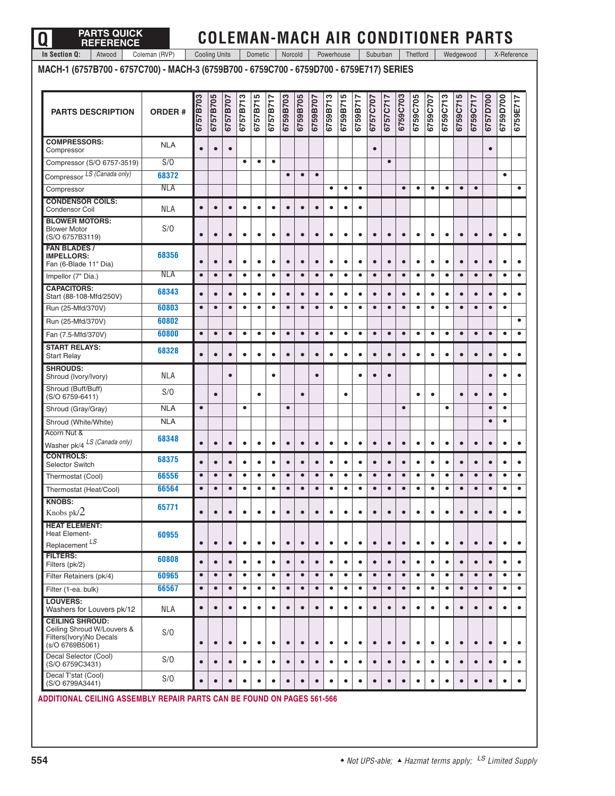| <b>PARTS DESCRIPTION</b>                                                                           | <b>ORDER#</b> | 6757B703  | 6757B705  | 6757B707  | 6757B713  | 6757B715  | 6757B717  | 6759B703  | 6759B705  | 6759B707  | 6759B713  | 6759B715  | 6759B717  | 6757C707  | 6757C717  | 6759C703  | 6759C705  | 6759C707  | 6759C713  | 6759C715  | 6759C717  | 6757D700  | 6759D700  | 6759E717  |
|----------------------------------------------------------------------------------------------------|---------------|-----------|-----------|-----------|-----------|-----------|-----------|-----------|-----------|-----------|-----------|-----------|-----------|-----------|-----------|-----------|-----------|-----------|-----------|-----------|-----------|-----------|-----------|-----------|
| <b>COMPRESSORS:</b><br>Compressor                                                                  | <b>NLA</b>    | $\bullet$ | $\bullet$ | $\bullet$ |           |           |           |           |           |           |           |           |           | $\bullet$ |           |           |           |           |           |           |           | $\bullet$ |           |           |
| Compressor (S/O 6757-3519)                                                                         | S/O           |           |           |           | $\bullet$ | $\bullet$ | $\bullet$ |           |           |           |           |           |           |           | $\bullet$ |           |           |           |           |           |           |           |           |           |
| Compressor LS (Canada only)                                                                        | 68372         |           |           |           |           |           |           | $\bullet$ | $\bullet$ | $\bullet$ |           |           |           |           |           |           |           |           |           |           |           |           | $\bullet$ |           |
| Compressor                                                                                         | <b>NLA</b>    |           |           |           |           |           |           |           |           |           | $\bullet$ | $\bullet$ | $\bullet$ |           |           | $\bullet$ | $\bullet$ | $\bullet$ | $\bullet$ | $\bullet$ | $\bullet$ |           |           | $\bullet$ |
| <b>CONDENSOR COILS:</b><br>Condensor Coil                                                          | <b>NLA</b>    | $\bullet$ | $\bullet$ | $\bullet$ | $\bullet$ | $\bullet$ | $\bullet$ | $\bullet$ | $\bullet$ | $\bullet$ | $\bullet$ | $\bullet$ | $\bullet$ |           |           |           |           |           |           |           |           |           |           |           |
| <b>BLOWER MOTORS:</b><br><b>Blower Motor</b><br>(S/O 6757B3119)                                    | S/O           | $\bullet$ | $\bullet$ | $\bullet$ | $\bullet$ | $\bullet$ | Ō         | $\bullet$ | $\bullet$ | $\bullet$ | $\bullet$ | $\bullet$ | $\bullet$ | $\bullet$ | $\bullet$ | $\bullet$ | $\bullet$ | $\bullet$ | $\bullet$ | $\bullet$ | $\bullet$ | $\bullet$ | $\bullet$ | $\bullet$ |
| <b>FAN BLADES /</b><br><b>IMPELLORS:</b><br>Fan (6-Blade 11" Dia)                                  | 68356         | $\bullet$ | $\bullet$ | $\bullet$ | $\bullet$ | $\bullet$ | $\bullet$ | $\bullet$ | $\bullet$ | $\bullet$ | $\bullet$ | $\bullet$ | $\bullet$ | $\bullet$ | $\bullet$ | $\bullet$ | $\bullet$ | $\bullet$ | $\bullet$ | $\bullet$ | $\bullet$ | $\bullet$ | $\bullet$ | $\bullet$ |
| Impellor (7" Dia.)                                                                                 | <b>NLA</b>    | $\bullet$ | $\bullet$ | $\bullet$ | $\bullet$ | $\bullet$ | $\bullet$ | $\bullet$ | $\bullet$ | $\bullet$ | $\bullet$ | $\bullet$ | $\bullet$ | $\bullet$ | $\bullet$ | $\bullet$ | $\bullet$ | $\bullet$ | $\bullet$ | $\bullet$ | $\bullet$ | $\bullet$ | $\bullet$ | $\bullet$ |
| <b>CAPACITORS:</b><br>Start (88-108-Mfd/250V)                                                      | 68343         | $\bullet$ | $\bullet$ | $\bullet$ | $\bullet$ | $\bullet$ | $\bullet$ | $\bullet$ | $\bullet$ | $\bullet$ | ٠         | $\bullet$ | $\bullet$ | $\bullet$ | $\bullet$ | $\bullet$ | $\bullet$ | $\bullet$ | $\bullet$ | $\bullet$ | $\bullet$ | $\bullet$ | $\bullet$ | $\bullet$ |
| Run (25-Mfd/370V)                                                                                  | 60803         | $\bullet$ | $\bullet$ | $\bullet$ | $\bullet$ | $\bullet$ | $\bullet$ | $\bullet$ | $\bullet$ | $\bullet$ | $\bullet$ | $\bullet$ | $\bullet$ | $\bullet$ | $\bullet$ | $\bullet$ | $\bullet$ | $\bullet$ | $\bullet$ | $\bullet$ | $\bullet$ | $\bullet$ | $\bullet$ |           |
| Run (25-Mfd/370V)                                                                                  | 60802         |           |           |           |           |           |           |           |           |           |           |           |           |           |           |           |           |           |           |           |           |           |           | $\bullet$ |
| Fan (7.5-Mfd/370V)                                                                                 | 60800         | $\bullet$ | $\bullet$ | $\bullet$ | $\bullet$ | $\bullet$ | $\bullet$ | $\bullet$ | $\bullet$ | $\bullet$ | $\bullet$ | $\bullet$ | $\bullet$ | $\bullet$ | $\bullet$ | $\bullet$ | $\bullet$ | $\bullet$ | $\bullet$ | $\bullet$ | $\bullet$ | $\bullet$ | $\bullet$ | $\bullet$ |
| <b>START RELAYS:</b><br><b>Start Relay</b>                                                         | 68328         | $\bullet$ | $\bullet$ | $\bullet$ | $\bullet$ | $\bullet$ | $\bullet$ | $\bullet$ | $\bullet$ | $\bullet$ | $\bullet$ | $\bullet$ | $\bullet$ | $\bullet$ | $\bullet$ | $\bullet$ | $\bullet$ | $\bullet$ | $\bullet$ | $\bullet$ | $\bullet$ | $\bullet$ | $\bullet$ | $\bullet$ |
| <b>SHROUDS:</b><br>Shroud (Ivory/Ivory)                                                            | <b>NLA</b>    |           |           | $\bullet$ |           |           | $\bullet$ |           |           | $\bullet$ |           |           | $\bullet$ | $\bullet$ | $\bullet$ |           |           |           |           |           |           | $\bullet$ | $\bullet$ | $\bullet$ |
| Shroud (Buff/Buff)<br>(S/O 6759-6411)                                                              | S/O           |           | $\bullet$ |           |           | $\bullet$ |           |           | $\bullet$ |           |           | $\bullet$ |           |           |           |           | $\bullet$ | $\bullet$ |           | $\bullet$ | $\bullet$ | $\bullet$ | $\bullet$ |           |
| Shroud (Gray/Gray)                                                                                 | <b>NLA</b>    | $\bullet$ |           |           | $\bullet$ |           |           | $\bullet$ |           |           |           |           |           |           |           | $\bullet$ |           |           | $\bullet$ |           |           | $\bullet$ | $\bullet$ |           |
| Shroud (White/White)                                                                               | <b>NLA</b>    |           |           |           |           |           |           |           |           |           |           |           |           |           |           |           |           |           |           |           |           | $\bullet$ | $\bullet$ |           |
| Acorn Nut &<br>Washer pk/4 LS (Canada only)                                                        | 68348         | $\bullet$ | $\bullet$ | $\bullet$ | $\bullet$ | $\bullet$ | $\bullet$ | $\bullet$ | $\bullet$ | $\bullet$ | $\bullet$ | $\bullet$ | $\bullet$ | $\bullet$ | $\bullet$ | $\bullet$ | $\bullet$ | $\bullet$ | $\bullet$ | $\bullet$ | $\bullet$ | $\bullet$ | $\bullet$ | $\bullet$ |
| <b>CONTROLS:</b><br>Selector Switch                                                                | 68375         | $\bullet$ | $\bullet$ | $\bullet$ | $\bullet$ | $\bullet$ | $\bullet$ | $\bullet$ | $\bullet$ | $\bullet$ | $\bullet$ | $\bullet$ | $\bullet$ | $\bullet$ | $\bullet$ | $\bullet$ | $\bullet$ | $\bullet$ | $\bullet$ | $\bullet$ | $\bullet$ | $\bullet$ | $\bullet$ | $\bullet$ |
| Thermostat (Cool)                                                                                  | 66556         | $\bullet$ | $\bullet$ | $\bullet$ | $\bullet$ | $\bullet$ | $\bullet$ | $\bullet$ | $\bullet$ | $\bullet$ | $\bullet$ | $\bullet$ | $\bullet$ | $\bullet$ | $\bullet$ | $\bullet$ | $\bullet$ | $\bullet$ | $\bullet$ | $\bullet$ | $\bullet$ | $\bullet$ | $\bullet$ | $\bullet$ |
| Thermostat (Heat/Cool)                                                                             | 66564         | $\bullet$ | $\bullet$ | $\bullet$ | $\bullet$ | $\bullet$ | $\bullet$ | $\bullet$ | $\bullet$ | $\bullet$ | ٠         | ٠         | $\bullet$ | $\bullet$ | $\bullet$ | $\bullet$ | $\bullet$ | ٠         | $\bullet$ | $\bullet$ | $\bullet$ | $\bullet$ | $\bullet$ | $\bullet$ |
| <b>KNOBS:</b><br>Knobs pk/2                                                                        | 65771         |           |           |           |           |           |           |           |           |           |           |           |           |           |           |           |           |           |           |           |           |           |           |           |
| <b>HEAT ELEMENT:</b><br>Heat Element-<br>Replacement LS                                            | 60955         | $\bullet$ | $\bullet$ | $\bullet$ | $\bullet$ | $\bullet$ | $\bullet$ | $\bullet$ | $\bullet$ | $\bullet$ | $\bullet$ | $\bullet$ | $\bullet$ | $\bullet$ | $\bullet$ | $\bullet$ | $\bullet$ | $\bullet$ | $\bullet$ | $\bullet$ | $\bullet$ | $\bullet$ | $\bullet$ | $\bullet$ |
| <b>FILTERS:</b><br>Filters (pk/2)                                                                  | 60808         | $\bullet$ | $\bullet$ | $\bullet$ | $\bullet$ | $\bullet$ | $\bullet$ | $\bullet$ | $\bullet$ | $\bullet$ | $\bullet$ | $\bullet$ | $\bullet$ | $\bullet$ | $\bullet$ | $\bullet$ | $\bullet$ | $\bullet$ | $\bullet$ | $\bullet$ | $\bullet$ | $\bullet$ | $\bullet$ | $\bullet$ |
| Filter Retainers (pk/4)                                                                            | 60965         | $\bullet$ | $\bullet$ | $\bullet$ | $\bullet$ | $\bullet$ | $\bullet$ | $\bullet$ | $\bullet$ | $\bullet$ | $\bullet$ | $\bullet$ | $\bullet$ | $\bullet$ | $\bullet$ | $\bullet$ | $\bullet$ | $\bullet$ | $\bullet$ | $\bullet$ | $\bullet$ | $\bullet$ | $\bullet$ | $\bullet$ |
| Filter (1-ea. bulk)                                                                                | 66567         | $\bullet$ | $\bullet$ | $\bullet$ | $\bullet$ | $\bullet$ | $\bullet$ | $\bullet$ | $\bullet$ | $\bullet$ | $\bullet$ | $\bullet$ | $\bullet$ | $\bullet$ | $\bullet$ | $\bullet$ | $\bullet$ | $\bullet$ | $\bullet$ | $\bullet$ | $\bullet$ | $\bullet$ | $\bullet$ | $\bullet$ |
| <b>LOUVERS:</b><br>Washers for Louvers pk/12                                                       | <b>NLA</b>    | $\bullet$ | $\bullet$ | $\bullet$ | $\bullet$ | $\bullet$ | $\bullet$ | $\bullet$ | $\bullet$ | $\bullet$ | $\bullet$ | $\bullet$ | $\bullet$ | $\bullet$ | $\bullet$ | $\bullet$ | $\bullet$ | $\bullet$ | $\bullet$ | $\bullet$ | $\bullet$ | $\bullet$ | $\bullet$ | $\bullet$ |
| <b>CEILING SHROUD:</b><br>Ceiling Shroud W/Louvers &<br>Filters(Ivory)No Decals<br>(s/O 6769B5061) | S/O           | $\bullet$ | $\bullet$ | $\bullet$ | $\bullet$ | $\bullet$ | $\bullet$ | $\bullet$ | $\bullet$ | $\bullet$ | $\bullet$ | $\bullet$ | $\bullet$ | $\bullet$ | $\bullet$ | $\bullet$ | $\bullet$ | $\bullet$ | $\bullet$ | $\bullet$ | $\bullet$ | $\bullet$ | $\bullet$ | $\bullet$ |
| Decal Selector (Cool)<br>(S/O 6759C3431)                                                           | S/O           | $\bullet$ | $\bullet$ | $\bullet$ | $\bullet$ | $\bullet$ | $\bullet$ | $\bullet$ | $\bullet$ | $\bullet$ | $\bullet$ | $\bullet$ | $\bullet$ | $\bullet$ | $\bullet$ |           | $\bullet$ | $\bullet$ | $\bullet$ | $\bullet$ | $\bullet$ | $\bullet$ | $\bullet$ | $\bullet$ |

(S/O 6759C3431) S/O **• • •••• • • •••• • • •••• • • •••** Decal T'stat (Cool) (S/O 6799A3441) S/O **• • •••• • • •••• • • •••• • • •••**

**ADDITIONAL CEILING ASSEMBLY REPAIR PARTS CAN BE FOUND ON PAGES 561-566**

# **COLEMAN-MACH AIR CONDITIONER PARTS**

**Q PARTS QUICK REFERENCE In Section Q:** Atwood | Coleman (RVP) | Cooling Units | Dometic | Norcold | Powerhouse | Suburban | Thetford | Wedgewood | X-Reference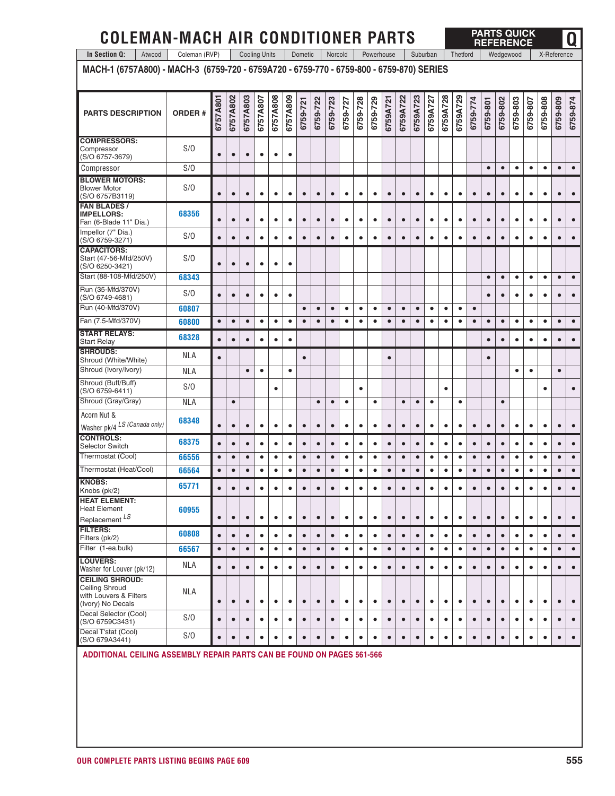| <b>COLEMAN-MACH AIR CONDITIONER PARTS</b>                                                |               |           |           |                      |           |           |           |           |           |           |           |           |           |            |           |           |           |           |           |           | <b>PARTS QUICK</b><br><b>REFERENCE</b> |           |           |           |           |             | 0         |
|------------------------------------------------------------------------------------------|---------------|-----------|-----------|----------------------|-----------|-----------|-----------|-----------|-----------|-----------|-----------|-----------|-----------|------------|-----------|-----------|-----------|-----------|-----------|-----------|----------------------------------------|-----------|-----------|-----------|-----------|-------------|-----------|
| In Section Q:<br>Atwood                                                                  | Coleman (RVP) |           |           | <b>Cooling Units</b> |           |           |           | Dometic   |           | Norcold   |           |           |           | Powerhouse |           |           | Suburban  |           | Thetford  |           |                                        |           | Wedgewood |           |           | X-Reference |           |
| MACH-1 (6757A800) - MACH-3 (6759-720 - 6759A720 - 6759-770 - 6759-800 - 6759-870) SERIES |               |           |           |                      |           |           |           |           |           |           |           |           |           |            |           |           |           |           |           |           |                                        |           |           |           |           |             |           |
| <b>PARTS DESCRIPTION</b>                                                                 | <b>ORDER#</b> | 6757A801  | 6757A802  | 6757A803             | 6757A807  | 6757A808  | 6757A809  | 6759-721  | 6759-722  | 6759-723  | 6759-727  | 6759-728  | 6759-729  | 6759A721   | 6759A722  | 6759A723  | 6759A727  | 6759A728  | 6759A729  | 6759-774  | 6759-801                               | 6759-802  | 6759-803  | 6759-807  | 6759-808  | 6759-809    | 6759-874  |
| <b>COMPRESSORS:</b><br>Compressor<br>(S/O 6757-3679)                                     | S/O           | $\bullet$ | $\bullet$ | $\bullet$            | $\bullet$ | $\bullet$ | $\bullet$ |           |           |           |           |           |           |            |           |           |           |           |           |           |                                        |           |           |           |           |             |           |
| Compressor                                                                               | S/O           |           |           |                      |           |           |           |           |           |           |           |           |           |            |           |           |           |           |           |           | $\bullet$                              | $\bullet$ | $\bullet$ | $\bullet$ | $\bullet$ | $\bullet$   | $\bullet$ |
| <b>BLOWER MOTORS:</b><br><b>Blower Motor</b><br>(S/O 6757B3119)                          | S/O           | $\bullet$ | $\bullet$ | $\bullet$            | $\bullet$ | $\bullet$ | $\bullet$ | $\bullet$ | $\bullet$ | $\bullet$ | $\bullet$ | $\bullet$ | $\bullet$ | $\bullet$  | $\bullet$ | $\bullet$ | $\bullet$ | $\bullet$ | $\bullet$ | $\bullet$ | $\bullet$                              | $\bullet$ | $\bullet$ | $\bullet$ | $\bullet$ | $\bullet$   |           |
| <b>FAN BLADES/</b><br><b>IMPELLORS:</b><br>Fan (6-Blade 11" Dia.)                        | 68356         | $\bullet$ | $\bullet$ | $\bullet$            | $\bullet$ | $\bullet$ | $\bullet$ | $\bullet$ | $\bullet$ | $\bullet$ | $\bullet$ | $\bullet$ | $\bullet$ | $\bullet$  | $\bullet$ | $\bullet$ | $\bullet$ | $\bullet$ | $\bullet$ | $\bullet$ | $\bullet$                              | $\bullet$ | $\bullet$ | $\bullet$ | $\bullet$ | $\bullet$   |           |
| Impellor (7" Dia.)<br>(S/O 6759-3271)                                                    | S/O           | $\bullet$ | $\bullet$ | $\bullet$            | $\bullet$ | $\bullet$ | $\bullet$ | $\bullet$ | $\bullet$ | $\bullet$ | $\bullet$ | $\bullet$ | $\bullet$ | $\bullet$  | $\bullet$ | $\bullet$ | $\bullet$ | $\bullet$ | $\bullet$ | $\bullet$ | $\bullet$                              | $\bullet$ | $\bullet$ | $\bullet$ | $\bullet$ | $\bullet$   |           |
| <b>CAPACITORS:</b><br>Start (47-56-Mfd/250V)<br>(S/O 6250-3421)                          | S/O           |           | $\bullet$ | $\bullet$            | $\bullet$ | $\bullet$ | $\bullet$ |           |           |           |           |           |           |            |           |           |           |           |           |           |                                        |           |           |           |           |             |           |
| Start (88-108-Mfd/250V)                                                                  | 68343         |           |           |                      |           |           |           |           |           |           |           |           |           |            |           |           |           |           |           |           | $\bullet$                              | $\bullet$ | $\bullet$ | $\bullet$ | $\bullet$ | $\bullet$   | $\bullet$ |
| Run (35-Mfd/370V)<br>(S/O 6749-4681)                                                     | S/O           |           | $\bullet$ | $\bullet$            | $\bullet$ | $\bullet$ | $\bullet$ |           |           |           |           |           |           |            |           |           |           |           |           |           | $\bullet$                              | $\bullet$ | $\bullet$ | $\bullet$ | $\bullet$ | $\bullet$   |           |
| Run (40-Mfd/370V)                                                                        | 60807         |           |           |                      |           |           |           | $\bullet$ | $\bullet$ | $\bullet$ | $\bullet$ | $\bullet$ | $\bullet$ | $\bullet$  | $\bullet$ | $\bullet$ | $\bullet$ | $\bullet$ | $\bullet$ | $\bullet$ |                                        |           |           |           |           |             |           |
| Fan (7.5-Mfd/370V)                                                                       | 60800         | $\bullet$ | $\bullet$ | $\bullet$            | $\bullet$ | $\bullet$ | $\bullet$ | $\bullet$ | $\bullet$ | $\bullet$ | $\bullet$ | $\bullet$ | $\bullet$ | $\bullet$  | $\bullet$ | $\bullet$ | $\bullet$ | $\bullet$ | $\bullet$ | $\bullet$ | $\bullet$                              | $\bullet$ | $\bullet$ | $\bullet$ | $\bullet$ | $\bullet$   | $\bullet$ |
| <b>START RELAYS:</b><br><b>Start Relay</b>                                               | 68328         | $\bullet$ | $\bullet$ | $\bullet$            | $\bullet$ | $\bullet$ | $\bullet$ |           |           |           |           |           |           |            |           |           |           |           |           |           | $\bullet$                              | $\bullet$ | $\bullet$ | $\bullet$ | ٠         | $\bullet$   |           |
| <b>SHROUDS:</b><br>Shroud (White/White)                                                  | <b>NLA</b>    | $\bullet$ |           |                      |           |           |           | $\bullet$ |           |           |           |           |           | $\bullet$  |           |           |           |           |           |           | $\bullet$                              |           |           |           |           |             |           |
| Shroud (Ivory/Ivory)                                                                     | <b>NLA</b>    |           |           | $\bullet$            | $\bullet$ |           | $\bullet$ |           |           |           |           |           |           |            |           |           |           |           |           |           |                                        |           | $\bullet$ | $\bullet$ |           | $\bullet$   |           |
| Shroud (Buff/Buff)<br>(S/O 6759-6411)                                                    | S/O           |           |           |                      |           | $\bullet$ |           |           |           |           |           | $\bullet$ |           |            |           |           |           | $\bullet$ |           |           |                                        |           |           |           | $\bullet$ |             | $\bullet$ |
| Shroud (Gray/Gray)                                                                       | <b>NLA</b>    |           | $\bullet$ |                      |           |           |           |           | $\bullet$ | $\bullet$ | $\bullet$ |           | $\bullet$ |            | $\bullet$ | $\bullet$ | $\bullet$ |           | $\bullet$ |           |                                        | $\bullet$ |           |           |           |             |           |
| Acorn Nut &<br>Washer pk/4 LS (Canada only)                                              | 68348         | $\bullet$ | $\bullet$ | $\bullet$            | $\bullet$ | $\bullet$ | $\bullet$ | $\bullet$ | $\bullet$ | $\bullet$ | $\bullet$ | $\bullet$ | $\bullet$ | $\bullet$  | $\bullet$ | $\bullet$ | $\bullet$ | $\bullet$ | $\bullet$ | $\bullet$ | $\bullet$                              | $\bullet$ | $\bullet$ | $\bullet$ | $\bullet$ | $\bullet$   |           |
| <b>CONTROLS:</b><br><b>Selector Switch</b>                                               | 68375         | $\bullet$ | $\bullet$ | $\bullet$            | $\bullet$ | $\bullet$ | $\bullet$ | $\bullet$ | $\bullet$ | $\bullet$ | $\bullet$ | $\bullet$ | $\bullet$ | $\bullet$  | $\bullet$ | $\bullet$ | $\bullet$ | $\bullet$ | $\bullet$ | $\bullet$ | $\bullet$                              | $\bullet$ | $\bullet$ | $\bullet$ | $\bullet$ | $\bullet$   | $\bullet$ |
| Thermostat (Cool)                                                                        | 66556         | $\bullet$ | $\bullet$ | $\bullet$            | $\bullet$ | $\bullet$ | $\bullet$ | $\bullet$ | $\bullet$ | $\bullet$ | $\bullet$ | $\bullet$ | $\bullet$ | $\bullet$  | $\bullet$ | $\bullet$ | $\bullet$ | $\bullet$ | ٠         | $\bullet$ | $\bullet$                              | $\bullet$ | $\bullet$ | $\bullet$ | $\bullet$ | $\bullet$   | $\bullet$ |
| Thermostat (Heat/Cool)                                                                   | 66564         | $\bullet$ | $\bullet$ | $\bullet$            | $\bullet$ | $\bullet$ | $\bullet$ | $\bullet$ | $\bullet$ | $\bullet$ | $\bullet$ | ٠         | ٠         | $\bullet$  | $\bullet$ | $\bullet$ | ٠         | ٠         | ٠         | $\bullet$ | $\bullet$                              | $\bullet$ | ٠         | ٠         | $\bullet$ | $\bullet$   | $\bullet$ |
| <b>KNOBS:</b><br>Knobs (pk/2)                                                            | 65771         | $\bullet$ | $\bullet$ | $\bullet$            | $\bullet$ | $\bullet$ | $\bullet$ | $\bullet$ | $\bullet$ | $\bullet$ | $\bullet$ | $\bullet$ | $\bullet$ | $\bullet$  | $\bullet$ | $\bullet$ | $\bullet$ | $\bullet$ | $\bullet$ | $\bullet$ | $\bullet$                              | $\bullet$ | $\bullet$ | $\bullet$ | $\bullet$ | $\bullet$   | $\bullet$ |
| <b>HEAT ELEMENT:</b><br><b>Heat Element</b><br>Replacement LS                            | 60955         | $\bullet$ | $\bullet$ | $\bullet$            | $\bullet$ | $\bullet$ | $\bullet$ | $\bullet$ | $\bullet$ | $\bullet$ | $\bullet$ | $\bullet$ | $\bullet$ | $\bullet$  | $\bullet$ | $\bullet$ | $\bullet$ | $\bullet$ | $\bullet$ | $\bullet$ | $\bullet$                              | $\bullet$ | $\bullet$ | $\bullet$ | $\bullet$ | $\bullet$   | $\bullet$ |
| <b>FILTERS:</b><br>Filters (pk/2)                                                        | 60808         | $\bullet$ | $\bullet$ | $\bullet$            | $\bullet$ | $\bullet$ | $\bullet$ | $\bullet$ | $\bullet$ | $\bullet$ | $\bullet$ | $\bullet$ | $\bullet$ | $\bullet$  | $\bullet$ | $\bullet$ | $\bullet$ | $\bullet$ | $\bullet$ | $\bullet$ | $\bullet$                              | $\bullet$ | $\bullet$ | $\bullet$ | $\bullet$ | $\bullet$   | $\bullet$ |
| Filter (1-ea.bulk)                                                                       | 66567         | $\bullet$ | $\bullet$ | $\bullet$            | $\bullet$ | $\bullet$ | $\bullet$ | $\bullet$ | $\bullet$ | $\bullet$ | $\bullet$ | $\bullet$ | $\bullet$ | $\bullet$  | $\bullet$ | $\bullet$ | $\bullet$ | $\bullet$ | $\bullet$ | $\bullet$ | $\bullet$                              | $\bullet$ | $\bullet$ | $\bullet$ | $\bullet$ | $\bullet$   | $\bullet$ |
| <b>LOUVERS:</b><br>Washer for Louver (pk/12)                                             | <b>NLA</b>    | $\bullet$ | $\bullet$ | $\bullet$            | $\bullet$ | $\bullet$ | $\bullet$ | $\bullet$ | $\bullet$ | $\bullet$ | $\bullet$ | $\bullet$ | $\bullet$ | $\bullet$  | $\bullet$ | $\bullet$ | $\bullet$ | $\bullet$ | $\bullet$ | $\bullet$ | $\bullet$                              | $\bullet$ | $\bullet$ | $\bullet$ | $\bullet$ | $\bullet$   | $\bullet$ |
| <b>CEILING SHROUD:</b><br>Ceiling Shroud<br>with Louvers & Filters<br>(Ivory) No Decals  | <b>NLA</b>    | $\bullet$ | $\bullet$ | $\bullet$            | $\bullet$ | $\bullet$ | $\bullet$ | $\bullet$ | $\bullet$ | $\bullet$ | $\bullet$ | $\bullet$ | $\bullet$ | $\bullet$  | $\bullet$ | $\bullet$ | $\bullet$ | $\bullet$ | $\bullet$ | $\bullet$ | $\bullet$                              | $\bullet$ | $\bullet$ | $\bullet$ | $\bullet$ | $\bullet$   | $\bullet$ |
| Decal Selector (Cool)<br>(S/O 6759C3431)                                                 | S/O           | $\bullet$ | $\bullet$ | $\bullet$            | $\bullet$ | $\bullet$ | $\bullet$ | $\bullet$ | $\bullet$ | $\bullet$ | $\bullet$ | $\bullet$ | $\bullet$ | $\bullet$  | $\bullet$ | $\bullet$ | $\bullet$ | $\bullet$ | $\bullet$ | $\bullet$ | $\bullet$                              | $\bullet$ | $\bullet$ | $\bullet$ | $\bullet$ | $\bullet$   | $\bullet$ |
| Decal T'stat (Cool)<br>(S/O 679A3441)                                                    | S/O           | $\bullet$ | $\bullet$ | $\bullet$            | $\bullet$ | $\bullet$ | $\bullet$ | $\bullet$ | $\bullet$ | $\bullet$ | $\bullet$ | $\bullet$ | $\bullet$ | $\bullet$  | $\bullet$ | $\bullet$ | $\bullet$ | $\bullet$ | $\bullet$ | $\bullet$ | $\bullet$                              | $\bullet$ | $\bullet$ | $\bullet$ | $\bullet$ | $\bullet$   | $\bullet$ |
|                                                                                          |               |           |           |                      |           |           |           |           |           |           |           |           |           |            |           |           |           |           |           |           |                                        |           |           |           |           |             |           |

#### **ADDITIONAL CEILING ASSEMBLY REPAIR PARTS CAN BE FOUND ON PAGES 561-566**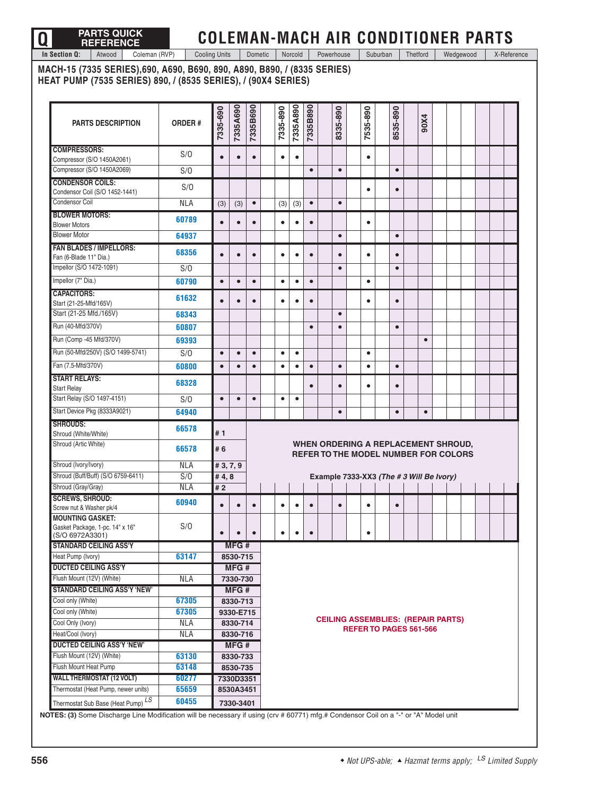# **Q PARTS QUICK REFERENCE**

## **COLEMAN-MACH AIR CONDITIONER PARTS**

**In Section Q:** Atwood Coleman (RVP) Cooling Units Dometic Norcold Powerhouse Suburban Thetford Wedgewood X-Reference

**MACH-15 (7335 SERIES),690, A690, B690, 890, A890, B890, / (8335 SERIES) HEAT PUMP (7535 SERIES) 890, / (8535 SERIES), / (90X4 SERIES)** 

| <b>PARTS DESCRIPTION</b>                                                  | <b>ORDER#</b> | 7335-690  | 7335A690  | 7335B690  | 7335-890  | 7335A890  | 7335B890  | 8335-890  | 7535-890  | 8535-890  |                                                                                    | 90X4      |  |  |  |
|---------------------------------------------------------------------------|---------------|-----------|-----------|-----------|-----------|-----------|-----------|-----------|-----------|-----------|------------------------------------------------------------------------------------|-----------|--|--|--|
| <b>COMPRESSORS:</b><br>Compressor (S/O 1450A2061)                         | S/O           |           | $\bullet$ |           | $\bullet$ | $\bullet$ |           |           | $\bullet$ |           |                                                                                    |           |  |  |  |
| Compressor (S/O 1450A2069)                                                | S/O           |           |           |           |           |           | $\bullet$ | $\bullet$ |           | $\bullet$ |                                                                                    |           |  |  |  |
| <b>CONDENSOR COILS:</b>                                                   | S/O           |           |           |           |           |           |           |           |           |           |                                                                                    |           |  |  |  |
| Condensor Coil (S/O 1452-1441)<br>Condensor Coil                          | <b>NLA</b>    | (3)       | (3)       | $\bullet$ | (3)       | (3)       | $\bullet$ | $\bullet$ | $\bullet$ | $\bullet$ |                                                                                    |           |  |  |  |
| <b>BLOWER MOTORS:</b><br><b>Blower Motors</b>                             | 60789         | $\bullet$ | $\bullet$ | $\bullet$ | $\bullet$ | $\bullet$ | $\bullet$ |           | $\bullet$ |           |                                                                                    |           |  |  |  |
| <b>Blower Motor</b>                                                       | 64937         |           |           |           |           |           |           | $\bullet$ |           | $\bullet$ |                                                                                    |           |  |  |  |
| <b>FAN BLADES / IMPELLORS:</b><br>Fan (6-Blade 11" Dia.)                  | 68356         | $\bullet$ | $\bullet$ | $\bullet$ | $\bullet$ | $\bullet$ | $\bullet$ | $\bullet$ | $\bullet$ | $\bullet$ |                                                                                    |           |  |  |  |
| Impellor (S/O 1472-1091)                                                  | S/O           |           |           |           |           |           |           | $\bullet$ |           | $\bullet$ |                                                                                    |           |  |  |  |
| Impellor (7" Dia.)                                                        | 60790         | $\bullet$ | $\bullet$ | $\bullet$ | $\bullet$ | $\bullet$ | $\bullet$ |           | $\bullet$ |           |                                                                                    |           |  |  |  |
| <b>CAPACITORS:</b><br>Start (21-25-Mfd/165V)                              | 61632         |           | $\bullet$ | $\bullet$ | $\bullet$ | $\bullet$ | $\bullet$ |           | $\bullet$ | $\bullet$ |                                                                                    |           |  |  |  |
| Start (21-25 Mfd./165V)                                                   | 68343         |           |           |           |           |           |           | $\bullet$ |           |           |                                                                                    |           |  |  |  |
| Run (40-Mfd/370V)                                                         | 60807         |           |           |           |           |           | $\bullet$ | $\bullet$ |           | $\bullet$ |                                                                                    |           |  |  |  |
| Run (Comp -45 Mfd/370V)                                                   | 69393         |           |           |           |           |           |           |           |           |           |                                                                                    | $\bullet$ |  |  |  |
| Run (50-Mfd/250V) (S/O 1499-5741)                                         | S/O           | $\bullet$ | $\bullet$ | $\bullet$ | $\bullet$ | $\bullet$ |           |           | $\bullet$ |           |                                                                                    |           |  |  |  |
| Fan (7.5-Mfd/370V)                                                        | 60800         | $\bullet$ | $\bullet$ | $\bullet$ | $\bullet$ | $\bullet$ | $\bullet$ | $\bullet$ | $\bullet$ | $\bullet$ |                                                                                    |           |  |  |  |
| <b>START RELAYS:</b>                                                      |               |           |           |           |           |           |           |           |           |           |                                                                                    |           |  |  |  |
| <b>Start Relay</b>                                                        | 68328         |           |           |           |           |           | $\bullet$ | $\bullet$ | $\bullet$ | $\bullet$ |                                                                                    |           |  |  |  |
| Start Relay (S/O 1497-4151)                                               | S/O           | $\bullet$ | $\bullet$ | $\bullet$ | $\bullet$ | $\bullet$ |           |           |           |           |                                                                                    |           |  |  |  |
| Start Device Pkg (8333A9021)                                              | 64940         |           |           |           |           |           |           | $\bullet$ |           | $\bullet$ |                                                                                    | $\bullet$ |  |  |  |
| <b>SHROUDS:</b><br>Shroud (White/White)                                   | 66578         | #1        |           |           |           |           |           |           |           |           |                                                                                    |           |  |  |  |
| Shroud (Artic White)                                                      | 66578         | # 6       |           |           |           |           |           |           |           |           | WHEN ORDERING A REPLACEMENT SHROUD,<br><b>REFER TO THE MODEL NUMBER FOR COLORS</b> |           |  |  |  |
| Shroud (Ivory/Ivory)                                                      | <b>NLA</b>    | #3,7,9    |           |           |           |           |           |           |           |           |                                                                                    |           |  |  |  |
| Shroud (Buff/Buff) (S/O 6759-6411)                                        | S/O           | #4,8      |           |           |           |           |           |           |           |           | Example 7333-XX3 (The #3 Will Be Ivory)                                            |           |  |  |  |
| Shroud (Gray/Gray)                                                        | <b>NLA</b>    | #2        |           |           |           |           |           |           |           |           |                                                                                    |           |  |  |  |
| <b>SCREWS, SHROUD:</b><br>Screw nut & Washer pk/4                         | 60940         | $\bullet$ | $\bullet$ | $\bullet$ | $\bullet$ | $\bullet$ | $\bullet$ | $\bullet$ | $\bullet$ | $\bullet$ |                                                                                    |           |  |  |  |
| <b>MOUNTING GASKET:</b><br>Gasket Package, 1-pc. 14" x 16"                | S/O           | $\bullet$ | $\bullet$ |           | $\bullet$ | $\bullet$ |           |           | $\bullet$ |           |                                                                                    |           |  |  |  |
| (S/O 6972A3301)<br><b>STANDARD CEILING ASS'Y</b>                          |               |           | MFG#      |           |           |           |           |           |           |           |                                                                                    |           |  |  |  |
| Heat Pump (Ivory)                                                         | 63147         |           | 8530-715  |           |           |           |           |           |           |           |                                                                                    |           |  |  |  |
| <b>DUCTED CEILING ASS'Y</b>                                               |               |           | MFG#      |           |           |           |           |           |           |           |                                                                                    |           |  |  |  |
| Flush Mount (12V) (White)                                                 | <b>NLA</b>    |           | 7330-730  |           |           |           |           |           |           |           |                                                                                    |           |  |  |  |
| <b>STANDARD CEILING ASS'Y 'NEW'</b>                                       |               |           | MFG#      |           |           |           |           |           |           |           |                                                                                    |           |  |  |  |
| Cool only (White)                                                         | 67305         |           | 8330-713  |           |           |           |           |           |           |           |                                                                                    |           |  |  |  |
| Cool only (White)                                                         | 67305         |           | 9330-E715 |           |           |           |           |           |           |           |                                                                                    |           |  |  |  |
| Cool Only (Ivory)                                                         | <b>NLA</b>    |           | 8330-714  |           |           |           |           |           |           |           | <b>CEILING ASSEMBLIES: (REPAIR PARTS)</b><br>REFER TO PAGES 561-566                |           |  |  |  |
| Heat/Cool (Ivory)                                                         | <b>NLA</b>    |           | 8330-716  |           |           |           |           |           |           |           |                                                                                    |           |  |  |  |
| <b>DUCTED CEILING ASS'Y 'NEW'</b>                                         |               |           | MFG#      |           |           |           |           |           |           |           |                                                                                    |           |  |  |  |
| Flush Mount (12V) (White)                                                 | 63130         |           | 8330-733  |           |           |           |           |           |           |           |                                                                                    |           |  |  |  |
| Flush Mount Heat Pump                                                     | 63148         |           | 8530-735  |           |           |           |           |           |           |           |                                                                                    |           |  |  |  |
| <b>WALL THERMOSTAT (12 VOLT)</b>                                          | 60277         |           | 7330D3351 |           |           |           |           |           |           |           |                                                                                    |           |  |  |  |
| Thermostat (Heat Pump, newer units)<br>Thermostat Sub Base (Heat Pump) LS | 65659         |           | 8530A3451 |           |           |           |           |           |           |           |                                                                                    |           |  |  |  |
|                                                                           | 60455         |           | 7330-3401 |           |           |           |           |           |           |           |                                                                                    |           |  |  |  |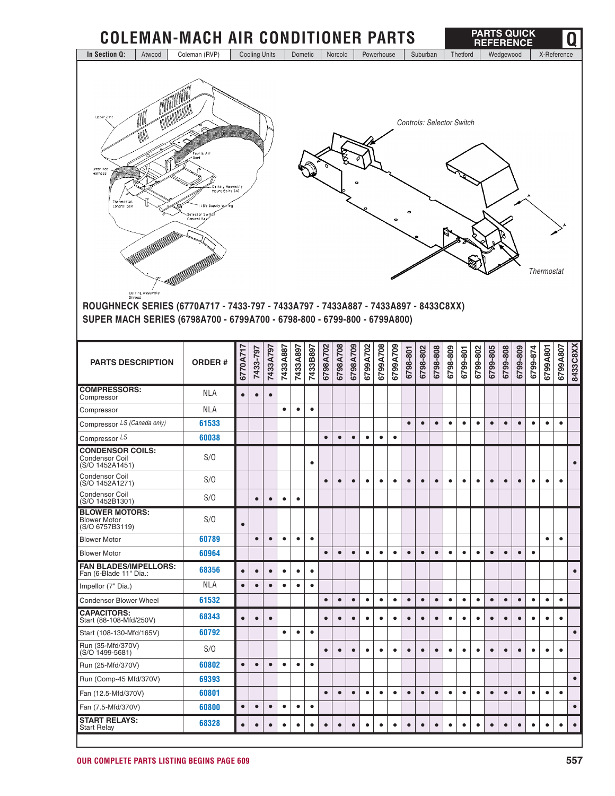| <b>Cooling Units</b><br>In Section Q:<br>Coleman (RVP)<br>Dometic<br>Wedgewood<br>Atwood<br>Norcold<br>Powerhouse<br>Suburban<br>Thetford<br>X-Reference<br><b>MANAMANA</b><br>M<br>Upper Unit<br><b>Controls: Selector Switch</b><br>M<br>Fabric All<br>Umbilica <sup>-</sup><br>Harness<br>Celling Assembly<br>Mount Bolts (4)<br>Thermostat<br>Control Box<br>5V Supply Wiring<br>Selector Sw<br>Control Bo<br><b>Thermostat</b><br>Centing Assembly<br>Shroud<br>ROUGHNECK SERIES (6770A717 - 7433-797 - 7433A797 - 7433A887 - 7433A897 - 8433C8XX)<br>SUPER MACH SERIES (6798A700 - 6799A700 - 6798-800 - 6799-800 - 6799A800)<br>6798A709<br>6799A702<br>6799A708<br>6799A709<br>6798A702<br>6798A708<br>6799A807<br>6799A801<br>7433B897<br>6798-808<br>6798-809<br>6799-802<br>6799-805<br>6799-808<br>6799-874<br>7433A887<br>7433A897<br>6798-802<br>6799-809<br>7433A797<br>7433-797<br>6798-801<br>6799-801<br>6770A71<br><b>ORDER#</b><br><b>PARTS DESCRIPTION</b><br><b>COMPRESSORS:</b><br><b>NLA</b><br>$\bullet$<br>$\bullet$<br>$\bullet$<br>Compressor<br><b>NLA</b><br>Compressor<br>$\bullet$<br>$\bullet$<br>$\bullet$<br>Compressor LS (Canada only)<br>61533<br>$\bullet$<br>$\bullet$<br>$\bullet$<br>$\bullet$<br>$\bullet$<br>$\bullet$<br>$\bullet$<br>$\bullet$<br>$\bullet$<br>$\bullet$<br>$\bullet$<br>$\bullet$<br>Compressor LS<br>60038<br>$\bullet$<br>$\bullet$<br>$\bullet$<br>$\bullet$<br>$\bullet$<br>$\bullet$<br><b>CONDENSOR COILS:</b><br>S/O<br><b>Condensor Coil</b><br>$\bullet$<br>(S/O 1452A1451)<br><b>Condensor Coil</b><br>S/O<br>(S/O 1452A1271)<br>Condensor Coil<br>S/O<br>$\bullet$<br>$\bullet$<br>$\bullet$<br>$\bullet$<br>(S/O 1452B1301)<br><b>BLOWER MOTORS:</b><br>S/O<br><b>Blower Motor</b><br>$\bullet$<br>(S/O 6757B3119)<br>60789<br>$\bullet$<br>$\bullet$<br><b>Blower Motor</b><br>$\bullet$<br>$\bullet$<br>$\bullet$<br>$\bullet$<br>$\bullet$<br>60964<br>$\bullet$<br>$\bullet$<br><b>Blower Motor</b><br>$\bullet$<br>$\bullet$<br>$\bullet$<br>$\bullet$<br>$\bullet$<br>$\bullet$<br>$\bullet$<br>$\bullet$<br>$\bullet$<br>$\bullet$<br>$\bullet$<br>$\bullet$<br>$\bullet$<br>$\bullet$<br><b>FAN BLADES/IMPELLORS:</b><br>68356<br>$\bullet$<br>$\bullet$<br>$\bullet$<br>$\bullet$<br>$\bullet$<br>$\bullet$<br>Fan (6-Blade 11" Dia.:<br><b>NLA</b><br>Impellor (7" Dia.)<br>$\bullet$<br>$\bullet$<br>$\bullet$<br>$\bullet$<br>$\bullet$<br>$\bullet$<br>61532<br>$\bullet$<br>$\bullet$<br>$\bullet$<br>$\bullet$<br>$\bullet$<br>$\bullet$<br>$\bullet$<br>$\bullet$<br>$\bullet$<br>$\bullet$<br>$\bullet$<br>$\bullet$<br>$\bullet$<br>$\bullet$<br>$\bullet$<br>$\bullet$<br>$\bullet$<br><b>Condensor Blower Wheel</b><br>$\bullet$<br><b>CAPACITORS:</b><br>68343<br>$\bullet$<br>$\bullet$<br>$\bullet$<br>$\bullet$<br>$\bullet$<br>$\bullet$<br>$\bullet$<br>$\bullet$<br>$\bullet$<br>$\bullet$<br>$\bullet$<br>$\bullet$<br>$\bullet$<br>$\bullet$<br>$\bullet$<br>$\bullet$<br>$\bullet$<br>$\bullet$<br>$\bullet$<br>$\bullet$<br>$\bullet$<br>Start (88-108-Mfd/250V)<br>60792<br>Start (108-130-Mfd/165V)<br>$\bullet$<br>$\bullet$<br>$\bullet$<br>Run (35-Mfd/370V)<br>S/O<br>$\bullet$<br>$\bullet$<br>$\bullet$<br>$\bullet$<br>$\bullet$<br>$\bullet$<br>$\bullet$<br>$\bullet$<br>$\bullet$<br>$\bullet$<br>٠<br>$\bullet$<br>$\bullet$<br>$\bullet$<br>$\bullet$<br>$\bullet$<br>$\bullet$<br>$(S/O 1499-5681)$<br>$\bullet$<br>60802<br>Run (25-Mfd/370V)<br>$\bullet$<br>$\bullet$<br>$\bullet$<br>$\bullet$<br>$\bullet$<br>$\bullet$<br>69393<br>Run (Comp-45 Mfd/370V)<br>60801<br>Fan (12.5-Mfd/370V)<br>$\bullet$<br>$\bullet$<br>$\bullet$<br>$\bullet$<br>$\bullet$<br>$\bullet$<br>$\bullet$<br>$\bullet$<br>$\bullet$<br>$\bullet$<br>$\bullet$<br>$\bullet$<br>$\bullet$<br>$\bullet$<br>$\bullet$<br>$\bullet$<br>٠<br>$\bullet$<br>60800<br>Fan (7.5-Mfd/370V)<br>$\bullet$<br>$\bullet$<br>$\bullet$<br>$\bullet$<br>$\bullet$<br>$\bullet$<br><b>START RELAYS:</b><br>68328<br>$\bullet$ | <b>COLEMAN-MACH AIR CONDITIONER PARTS</b> |           |           |           |           |           |           |           |           |           |           |           |   |           |           |   |           |           |           | <b>PARTS QUICK</b><br><b>REFERENCE</b> |           |           |           |           | Q         |
|-----------------------------------------------------------------------------------------------------------------------------------------------------------------------------------------------------------------------------------------------------------------------------------------------------------------------------------------------------------------------------------------------------------------------------------------------------------------------------------------------------------------------------------------------------------------------------------------------------------------------------------------------------------------------------------------------------------------------------------------------------------------------------------------------------------------------------------------------------------------------------------------------------------------------------------------------------------------------------------------------------------------------------------------------------------------------------------------------------------------------------------------------------------------------------------------------------------------------------------------------------------------------------------------------------------------------------------------------------------------------------------------------------------------------------------------------------------------------------------------------------------------------------------------------------------------------------------------------------------------------------------------------------------------------------------------------------------------------------------------------------------------------------------------------------------------------------------------------------------------------------------------------------------------------------------------------------------------------------------------------------------------------------------------------------------------------------------------------------------------------------------------------------------------------------------------------------------------------------------------------------------------------------------------------------------------------------------------------------------------------------------------------------------------------------------------------------------------------------------------------------------------------------------------------------------------------------------------------------------------------------------------------------------------------------------------------------------------------------------------------------------------------------------------------------------------------------------------------------------------------------------------------------------------------------------------------------------------------------------------------------------------------------------------------------------------------------------------------------------------------------------------------------------------------------------------------------------------------------------------------------------------------------------------------------------------------------------------------------------------------------------------------------------------------------------------------------------------------------------------------------------------------------------------------------------------------------------------------------------------------------------------------------------------------------------------------------------------------------------------------------------------------------------------------------------------------------------------------------------------------------------------------------------------------------------------------------------------------------------------------------------------------|-------------------------------------------|-----------|-----------|-----------|-----------|-----------|-----------|-----------|-----------|-----------|-----------|-----------|---|-----------|-----------|---|-----------|-----------|-----------|----------------------------------------|-----------|-----------|-----------|-----------|-----------|
|                                                                                                                                                                                                                                                                                                                                                                                                                                                                                                                                                                                                                                                                                                                                                                                                                                                                                                                                                                                                                                                                                                                                                                                                                                                                                                                                                                                                                                                                                                                                                                                                                                                                                                                                                                                                                                                                                                                                                                                                                                                                                                                                                                                                                                                                                                                                                                                                                                                                                                                                                                                                                                                                                                                                                                                                                                                                                                                                                                                                                                                                                                                                                                                                                                                                                                                                                                                                                                                                                                                                                                                                                                                                                                                                                                                                                                                                                                                                                                                                                       |                                           |           |           |           |           |           |           |           |           |           |           |           |   |           |           |   |           |           |           |                                        |           |           |           |           |           |
|                                                                                                                                                                                                                                                                                                                                                                                                                                                                                                                                                                                                                                                                                                                                                                                                                                                                                                                                                                                                                                                                                                                                                                                                                                                                                                                                                                                                                                                                                                                                                                                                                                                                                                                                                                                                                                                                                                                                                                                                                                                                                                                                                                                                                                                                                                                                                                                                                                                                                                                                                                                                                                                                                                                                                                                                                                                                                                                                                                                                                                                                                                                                                                                                                                                                                                                                                                                                                                                                                                                                                                                                                                                                                                                                                                                                                                                                                                                                                                                                                       |                                           |           |           |           |           |           |           |           |           |           |           |           |   |           |           |   |           |           |           |                                        |           |           |           |           |           |
|                                                                                                                                                                                                                                                                                                                                                                                                                                                                                                                                                                                                                                                                                                                                                                                                                                                                                                                                                                                                                                                                                                                                                                                                                                                                                                                                                                                                                                                                                                                                                                                                                                                                                                                                                                                                                                                                                                                                                                                                                                                                                                                                                                                                                                                                                                                                                                                                                                                                                                                                                                                                                                                                                                                                                                                                                                                                                                                                                                                                                                                                                                                                                                                                                                                                                                                                                                                                                                                                                                                                                                                                                                                                                                                                                                                                                                                                                                                                                                                                                       |                                           |           |           |           |           |           |           |           |           |           |           |           |   |           |           |   |           |           |           |                                        |           |           |           |           | 8433C8XX  |
|                                                                                                                                                                                                                                                                                                                                                                                                                                                                                                                                                                                                                                                                                                                                                                                                                                                                                                                                                                                                                                                                                                                                                                                                                                                                                                                                                                                                                                                                                                                                                                                                                                                                                                                                                                                                                                                                                                                                                                                                                                                                                                                                                                                                                                                                                                                                                                                                                                                                                                                                                                                                                                                                                                                                                                                                                                                                                                                                                                                                                                                                                                                                                                                                                                                                                                                                                                                                                                                                                                                                                                                                                                                                                                                                                                                                                                                                                                                                                                                                                       |                                           |           |           |           |           |           |           |           |           |           |           |           |   |           |           |   |           |           |           |                                        |           |           |           |           |           |
|                                                                                                                                                                                                                                                                                                                                                                                                                                                                                                                                                                                                                                                                                                                                                                                                                                                                                                                                                                                                                                                                                                                                                                                                                                                                                                                                                                                                                                                                                                                                                                                                                                                                                                                                                                                                                                                                                                                                                                                                                                                                                                                                                                                                                                                                                                                                                                                                                                                                                                                                                                                                                                                                                                                                                                                                                                                                                                                                                                                                                                                                                                                                                                                                                                                                                                                                                                                                                                                                                                                                                                                                                                                                                                                                                                                                                                                                                                                                                                                                                       |                                           |           |           |           |           |           |           |           |           |           |           |           |   |           |           |   |           |           |           |                                        |           |           |           |           |           |
|                                                                                                                                                                                                                                                                                                                                                                                                                                                                                                                                                                                                                                                                                                                                                                                                                                                                                                                                                                                                                                                                                                                                                                                                                                                                                                                                                                                                                                                                                                                                                                                                                                                                                                                                                                                                                                                                                                                                                                                                                                                                                                                                                                                                                                                                                                                                                                                                                                                                                                                                                                                                                                                                                                                                                                                                                                                                                                                                                                                                                                                                                                                                                                                                                                                                                                                                                                                                                                                                                                                                                                                                                                                                                                                                                                                                                                                                                                                                                                                                                       |                                           |           |           |           |           |           |           |           |           |           |           |           |   |           |           |   |           |           |           |                                        |           |           |           |           |           |
|                                                                                                                                                                                                                                                                                                                                                                                                                                                                                                                                                                                                                                                                                                                                                                                                                                                                                                                                                                                                                                                                                                                                                                                                                                                                                                                                                                                                                                                                                                                                                                                                                                                                                                                                                                                                                                                                                                                                                                                                                                                                                                                                                                                                                                                                                                                                                                                                                                                                                                                                                                                                                                                                                                                                                                                                                                                                                                                                                                                                                                                                                                                                                                                                                                                                                                                                                                                                                                                                                                                                                                                                                                                                                                                                                                                                                                                                                                                                                                                                                       |                                           |           |           |           |           |           |           |           |           |           |           |           |   |           |           |   |           |           |           |                                        |           |           |           |           |           |
|                                                                                                                                                                                                                                                                                                                                                                                                                                                                                                                                                                                                                                                                                                                                                                                                                                                                                                                                                                                                                                                                                                                                                                                                                                                                                                                                                                                                                                                                                                                                                                                                                                                                                                                                                                                                                                                                                                                                                                                                                                                                                                                                                                                                                                                                                                                                                                                                                                                                                                                                                                                                                                                                                                                                                                                                                                                                                                                                                                                                                                                                                                                                                                                                                                                                                                                                                                                                                                                                                                                                                                                                                                                                                                                                                                                                                                                                                                                                                                                                                       |                                           |           |           |           |           |           |           |           |           |           |           |           |   |           |           |   |           |           |           |                                        |           |           |           |           |           |
|                                                                                                                                                                                                                                                                                                                                                                                                                                                                                                                                                                                                                                                                                                                                                                                                                                                                                                                                                                                                                                                                                                                                                                                                                                                                                                                                                                                                                                                                                                                                                                                                                                                                                                                                                                                                                                                                                                                                                                                                                                                                                                                                                                                                                                                                                                                                                                                                                                                                                                                                                                                                                                                                                                                                                                                                                                                                                                                                                                                                                                                                                                                                                                                                                                                                                                                                                                                                                                                                                                                                                                                                                                                                                                                                                                                                                                                                                                                                                                                                                       |                                           |           |           |           |           |           |           |           |           |           |           |           |   |           |           |   |           |           |           |                                        |           |           |           |           |           |
|                                                                                                                                                                                                                                                                                                                                                                                                                                                                                                                                                                                                                                                                                                                                                                                                                                                                                                                                                                                                                                                                                                                                                                                                                                                                                                                                                                                                                                                                                                                                                                                                                                                                                                                                                                                                                                                                                                                                                                                                                                                                                                                                                                                                                                                                                                                                                                                                                                                                                                                                                                                                                                                                                                                                                                                                                                                                                                                                                                                                                                                                                                                                                                                                                                                                                                                                                                                                                                                                                                                                                                                                                                                                                                                                                                                                                                                                                                                                                                                                                       |                                           |           |           |           |           |           |           |           |           |           |           |           |   |           |           |   |           |           |           |                                        |           |           |           |           |           |
|                                                                                                                                                                                                                                                                                                                                                                                                                                                                                                                                                                                                                                                                                                                                                                                                                                                                                                                                                                                                                                                                                                                                                                                                                                                                                                                                                                                                                                                                                                                                                                                                                                                                                                                                                                                                                                                                                                                                                                                                                                                                                                                                                                                                                                                                                                                                                                                                                                                                                                                                                                                                                                                                                                                                                                                                                                                                                                                                                                                                                                                                                                                                                                                                                                                                                                                                                                                                                                                                                                                                                                                                                                                                                                                                                                                                                                                                                                                                                                                                                       |                                           |           |           |           |           |           |           |           |           |           |           |           |   |           |           |   |           |           |           |                                        |           |           |           |           |           |
|                                                                                                                                                                                                                                                                                                                                                                                                                                                                                                                                                                                                                                                                                                                                                                                                                                                                                                                                                                                                                                                                                                                                                                                                                                                                                                                                                                                                                                                                                                                                                                                                                                                                                                                                                                                                                                                                                                                                                                                                                                                                                                                                                                                                                                                                                                                                                                                                                                                                                                                                                                                                                                                                                                                                                                                                                                                                                                                                                                                                                                                                                                                                                                                                                                                                                                                                                                                                                                                                                                                                                                                                                                                                                                                                                                                                                                                                                                                                                                                                                       |                                           |           |           |           |           |           |           |           |           |           |           |           |   |           |           |   |           |           |           |                                        |           |           |           |           |           |
|                                                                                                                                                                                                                                                                                                                                                                                                                                                                                                                                                                                                                                                                                                                                                                                                                                                                                                                                                                                                                                                                                                                                                                                                                                                                                                                                                                                                                                                                                                                                                                                                                                                                                                                                                                                                                                                                                                                                                                                                                                                                                                                                                                                                                                                                                                                                                                                                                                                                                                                                                                                                                                                                                                                                                                                                                                                                                                                                                                                                                                                                                                                                                                                                                                                                                                                                                                                                                                                                                                                                                                                                                                                                                                                                                                                                                                                                                                                                                                                                                       |                                           |           |           |           |           |           |           |           |           |           |           |           |   |           |           |   |           |           |           |                                        |           |           |           |           |           |
|                                                                                                                                                                                                                                                                                                                                                                                                                                                                                                                                                                                                                                                                                                                                                                                                                                                                                                                                                                                                                                                                                                                                                                                                                                                                                                                                                                                                                                                                                                                                                                                                                                                                                                                                                                                                                                                                                                                                                                                                                                                                                                                                                                                                                                                                                                                                                                                                                                                                                                                                                                                                                                                                                                                                                                                                                                                                                                                                                                                                                                                                                                                                                                                                                                                                                                                                                                                                                                                                                                                                                                                                                                                                                                                                                                                                                                                                                                                                                                                                                       |                                           |           |           |           |           |           |           |           |           |           |           |           |   |           |           |   |           |           |           |                                        |           |           |           |           | $\bullet$ |
|                                                                                                                                                                                                                                                                                                                                                                                                                                                                                                                                                                                                                                                                                                                                                                                                                                                                                                                                                                                                                                                                                                                                                                                                                                                                                                                                                                                                                                                                                                                                                                                                                                                                                                                                                                                                                                                                                                                                                                                                                                                                                                                                                                                                                                                                                                                                                                                                                                                                                                                                                                                                                                                                                                                                                                                                                                                                                                                                                                                                                                                                                                                                                                                                                                                                                                                                                                                                                                                                                                                                                                                                                                                                                                                                                                                                                                                                                                                                                                                                                       |                                           |           |           |           |           |           |           |           |           |           |           |           |   |           |           |   |           |           |           |                                        |           |           |           |           |           |
|                                                                                                                                                                                                                                                                                                                                                                                                                                                                                                                                                                                                                                                                                                                                                                                                                                                                                                                                                                                                                                                                                                                                                                                                                                                                                                                                                                                                                                                                                                                                                                                                                                                                                                                                                                                                                                                                                                                                                                                                                                                                                                                                                                                                                                                                                                                                                                                                                                                                                                                                                                                                                                                                                                                                                                                                                                                                                                                                                                                                                                                                                                                                                                                                                                                                                                                                                                                                                                                                                                                                                                                                                                                                                                                                                                                                                                                                                                                                                                                                                       |                                           |           |           |           |           |           |           |           |           |           |           |           |   |           |           |   |           |           |           |                                        |           |           |           |           |           |
|                                                                                                                                                                                                                                                                                                                                                                                                                                                                                                                                                                                                                                                                                                                                                                                                                                                                                                                                                                                                                                                                                                                                                                                                                                                                                                                                                                                                                                                                                                                                                                                                                                                                                                                                                                                                                                                                                                                                                                                                                                                                                                                                                                                                                                                                                                                                                                                                                                                                                                                                                                                                                                                                                                                                                                                                                                                                                                                                                                                                                                                                                                                                                                                                                                                                                                                                                                                                                                                                                                                                                                                                                                                                                                                                                                                                                                                                                                                                                                                                                       |                                           |           |           |           |           |           |           |           |           |           |           |           |   |           |           |   |           |           |           |                                        |           |           |           |           |           |
|                                                                                                                                                                                                                                                                                                                                                                                                                                                                                                                                                                                                                                                                                                                                                                                                                                                                                                                                                                                                                                                                                                                                                                                                                                                                                                                                                                                                                                                                                                                                                                                                                                                                                                                                                                                                                                                                                                                                                                                                                                                                                                                                                                                                                                                                                                                                                                                                                                                                                                                                                                                                                                                                                                                                                                                                                                                                                                                                                                                                                                                                                                                                                                                                                                                                                                                                                                                                                                                                                                                                                                                                                                                                                                                                                                                                                                                                                                                                                                                                                       |                                           |           |           |           |           |           |           |           |           |           |           |           |   |           |           |   |           |           |           |                                        |           |           |           |           | $\bullet$ |
|                                                                                                                                                                                                                                                                                                                                                                                                                                                                                                                                                                                                                                                                                                                                                                                                                                                                                                                                                                                                                                                                                                                                                                                                                                                                                                                                                                                                                                                                                                                                                                                                                                                                                                                                                                                                                                                                                                                                                                                                                                                                                                                                                                                                                                                                                                                                                                                                                                                                                                                                                                                                                                                                                                                                                                                                                                                                                                                                                                                                                                                                                                                                                                                                                                                                                                                                                                                                                                                                                                                                                                                                                                                                                                                                                                                                                                                                                                                                                                                                                       |                                           |           |           |           |           |           |           |           |           |           |           |           |   |           |           |   |           |           |           |                                        |           |           |           |           |           |
|                                                                                                                                                                                                                                                                                                                                                                                                                                                                                                                                                                                                                                                                                                                                                                                                                                                                                                                                                                                                                                                                                                                                                                                                                                                                                                                                                                                                                                                                                                                                                                                                                                                                                                                                                                                                                                                                                                                                                                                                                                                                                                                                                                                                                                                                                                                                                                                                                                                                                                                                                                                                                                                                                                                                                                                                                                                                                                                                                                                                                                                                                                                                                                                                                                                                                                                                                                                                                                                                                                                                                                                                                                                                                                                                                                                                                                                                                                                                                                                                                       |                                           |           |           |           |           |           |           |           |           |           |           |           |   |           |           |   |           |           |           |                                        |           |           |           |           |           |
|                                                                                                                                                                                                                                                                                                                                                                                                                                                                                                                                                                                                                                                                                                                                                                                                                                                                                                                                                                                                                                                                                                                                                                                                                                                                                                                                                                                                                                                                                                                                                                                                                                                                                                                                                                                                                                                                                                                                                                                                                                                                                                                                                                                                                                                                                                                                                                                                                                                                                                                                                                                                                                                                                                                                                                                                                                                                                                                                                                                                                                                                                                                                                                                                                                                                                                                                                                                                                                                                                                                                                                                                                                                                                                                                                                                                                                                                                                                                                                                                                       |                                           |           |           |           |           |           |           |           |           |           |           |           |   |           |           |   |           |           |           |                                        |           |           |           |           | $\bullet$ |
|                                                                                                                                                                                                                                                                                                                                                                                                                                                                                                                                                                                                                                                                                                                                                                                                                                                                                                                                                                                                                                                                                                                                                                                                                                                                                                                                                                                                                                                                                                                                                                                                                                                                                                                                                                                                                                                                                                                                                                                                                                                                                                                                                                                                                                                                                                                                                                                                                                                                                                                                                                                                                                                                                                                                                                                                                                                                                                                                                                                                                                                                                                                                                                                                                                                                                                                                                                                                                                                                                                                                                                                                                                                                                                                                                                                                                                                                                                                                                                                                                       |                                           |           |           |           |           |           |           |           |           |           |           |           |   |           |           |   |           |           |           |                                        |           |           |           |           |           |
|                                                                                                                                                                                                                                                                                                                                                                                                                                                                                                                                                                                                                                                                                                                                                                                                                                                                                                                                                                                                                                                                                                                                                                                                                                                                                                                                                                                                                                                                                                                                                                                                                                                                                                                                                                                                                                                                                                                                                                                                                                                                                                                                                                                                                                                                                                                                                                                                                                                                                                                                                                                                                                                                                                                                                                                                                                                                                                                                                                                                                                                                                                                                                                                                                                                                                                                                                                                                                                                                                                                                                                                                                                                                                                                                                                                                                                                                                                                                                                                                                       |                                           |           |           |           |           |           |           |           |           |           |           |           |   |           |           |   |           |           |           |                                        |           |           |           |           | $\bullet$ |
|                                                                                                                                                                                                                                                                                                                                                                                                                                                                                                                                                                                                                                                                                                                                                                                                                                                                                                                                                                                                                                                                                                                                                                                                                                                                                                                                                                                                                                                                                                                                                                                                                                                                                                                                                                                                                                                                                                                                                                                                                                                                                                                                                                                                                                                                                                                                                                                                                                                                                                                                                                                                                                                                                                                                                                                                                                                                                                                                                                                                                                                                                                                                                                                                                                                                                                                                                                                                                                                                                                                                                                                                                                                                                                                                                                                                                                                                                                                                                                                                                       | <b>Start Relay</b>                        | $\bullet$ | $\bullet$ | $\bullet$ | $\bullet$ | $\bullet$ | $\bullet$ | $\bullet$ | $\bullet$ | $\bullet$ | $\bullet$ | $\bullet$ | ٠ | $\bullet$ | $\bullet$ | ٠ | $\bullet$ | $\bullet$ | $\bullet$ | $\bullet$                              | $\bullet$ | $\bullet$ | $\bullet$ | $\bullet$ | $\bullet$ |

l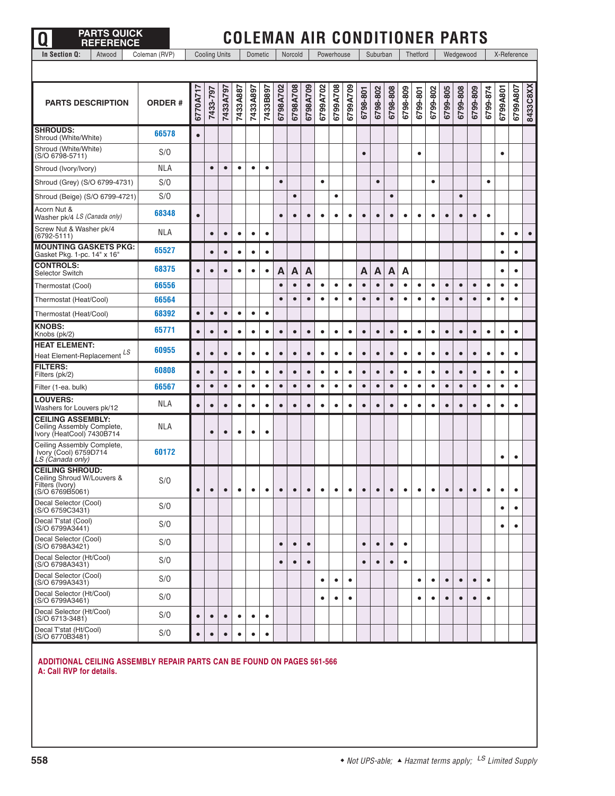| <b>PARTS QUICK</b><br>O<br><b>REFERENCE</b>                                                |               |           |           |                      |           |           |           |           |           |           | <b>COLEMAN AIR CONDITIONER PARTS</b> |            |           |           |           |           |           |           |           |           |           |           |           |           |             |           |
|--------------------------------------------------------------------------------------------|---------------|-----------|-----------|----------------------|-----------|-----------|-----------|-----------|-----------|-----------|--------------------------------------|------------|-----------|-----------|-----------|-----------|-----------|-----------|-----------|-----------|-----------|-----------|-----------|-----------|-------------|-----------|
| Atwood<br>In Section Q:                                                                    | Coleman (RVP) |           |           | <b>Cooling Units</b> |           | Dometic   |           |           | Norcold   |           |                                      | Powerhouse |           |           | Suburban  |           |           | Thetford  |           |           | Wedgewood |           |           |           | X-Reference |           |
|                                                                                            |               |           |           |                      |           |           |           |           |           |           |                                      |            |           |           |           |           |           |           |           |           |           |           |           |           |             |           |
| <b>PARTS DESCRIPTION</b>                                                                   | <b>ORDER#</b> | 6770A71   | 7433-797  | 7433A797             | 7433A887  | 7433A897  | 7433B897  | 6798A702  | 6798A708  | 6798A709  | 6799A702                             | 6799A708   | 6799A709  | 6798-801  | 6798-802  | 6798-808  | 6798-809  | 6799-801  | 6799-802  | 6799-805  | 6799-808  | 6799-809  | 6799-874  | 6799A801  | 6799A807    | 8433C8XX  |
| <b>SHROUDS:</b><br>Shroud (White/White)                                                    | 66578         | $\bullet$ |           |                      |           |           |           |           |           |           |                                      |            |           |           |           |           |           |           |           |           |           |           |           |           |             |           |
| Shroud (White/White)<br>(S/O 6798-5711)                                                    | S/O           |           |           |                      |           |           |           |           |           |           |                                      |            |           | $\bullet$ |           |           |           | $\bullet$ |           |           |           |           |           | $\bullet$ |             |           |
| Shroud (Ivory/Ivory)                                                                       | <b>NLA</b>    |           | $\bullet$ | $\bullet$            | $\bullet$ | $\bullet$ | $\bullet$ |           |           |           |                                      |            |           |           |           |           |           |           |           |           |           |           |           |           |             |           |
| Shroud (Grey) (S/O 6799-4731)                                                              | S/O           |           |           |                      |           |           |           | $\bullet$ |           |           | $\bullet$                            |            |           |           | $\bullet$ |           |           |           | $\bullet$ |           |           |           | $\bullet$ |           |             |           |
| Shroud (Beige) (S/O 6799-4721)                                                             | S/O           |           |           |                      |           |           |           |           | $\bullet$ |           |                                      | $\bullet$  |           |           |           | $\bullet$ |           |           |           |           | $\bullet$ |           |           |           |             |           |
| Acorn Nut &<br>Washer pk/4 LS (Canada only)                                                | 68348         | $\bullet$ |           |                      |           |           |           | $\bullet$ | $\bullet$ | $\bullet$ | $\bullet$                            | $\bullet$  | ٠         | $\bullet$ | $\bullet$ | $\bullet$ | $\bullet$ | $\bullet$ | $\bullet$ | $\bullet$ | $\bullet$ | $\bullet$ | $\bullet$ |           |             |           |
| Screw Nut & Washer pk/4<br>$(6792 - 5111)$                                                 | <b>NLA</b>    |           | $\bullet$ | $\bullet$            | $\bullet$ | $\bullet$ | $\bullet$ |           |           |           |                                      |            |           |           |           |           |           |           |           |           |           |           |           | $\bullet$ | $\bullet$   | $\bullet$ |
| <b>MOUNTING GASKETS PKG:</b><br>Gasket Pkg. 1-pc. 14" x 16"                                | 65527         |           | $\bullet$ | $\bullet$            | ٠         | $\bullet$ | $\bullet$ |           |           |           |                                      |            |           |           |           |           |           |           |           |           |           |           |           |           | $\bullet$   |           |
| <b>CONTROLS:</b><br><b>Selector Switch</b>                                                 | 68375         | $\bullet$ | C         | $\bullet$            |           | $\bullet$ | $\bullet$ | A         | А         | A         |                                      |            |           | A         | А         | Α         | A         |           |           |           |           |           |           | $\bullet$ | $\bullet$   |           |
| Thermostat (Cool)                                                                          | 66556         |           |           |                      |           |           |           | $\bullet$ | $\bullet$ | $\bullet$ | $\bullet$                            | $\bullet$  | $\bullet$ | $\bullet$ | $\bullet$ | $\bullet$ | $\bullet$ | $\bullet$ | $\bullet$ | $\bullet$ | $\bullet$ | $\bullet$ | $\bullet$ | $\bullet$ | $\bullet$   |           |
| Thermostat (Heat/Cool)                                                                     | 66564         |           |           |                      |           |           |           | $\bullet$ | $\bullet$ | $\bullet$ | $\bullet$                            | $\bullet$  | $\bullet$ | $\bullet$ | $\bullet$ | $\bullet$ | $\bullet$ | $\bullet$ | $\bullet$ | $\bullet$ | $\bullet$ | $\bullet$ | $\bullet$ | $\bullet$ | $\bullet$   |           |
| Thermostat (Heat/Cool)                                                                     | 68392         | $\bullet$ | $\bullet$ | $\bullet$            | $\bullet$ | $\bullet$ | $\bullet$ |           |           |           |                                      |            |           |           |           |           |           |           |           |           |           |           |           |           |             |           |
| <b>KNOBS:</b><br>Knobs (pk/2)                                                              | 65771         | $\bullet$ | $\bullet$ | $\bullet$            | $\bullet$ | $\bullet$ | ٠         | $\bullet$ | $\bullet$ | $\bullet$ | $\bullet$                            | $\bullet$  | $\bullet$ | $\bullet$ | $\bullet$ | $\bullet$ | $\bullet$ | $\bullet$ | $\bullet$ | $\bullet$ | $\bullet$ | $\bullet$ | $\bullet$ | $\bullet$ | $\bullet$   |           |
| <b>HEAT ELEMENT:</b><br>Heat Element-Replacement LS                                        | 60955         | $\bullet$ | $\bullet$ | $\bullet$            | $\bullet$ | $\bullet$ | $\bullet$ | $\bullet$ | $\bullet$ | $\bullet$ | $\bullet$                            | $\bullet$  | $\bullet$ | $\bullet$ | $\bullet$ | $\bullet$ | $\bullet$ | $\bullet$ | $\bullet$ | $\bullet$ | $\bullet$ | $\bullet$ | $\bullet$ | $\bullet$ | $\bullet$   |           |
| <b>FILTERS:</b><br>Filters (pk/2)                                                          | 60808         | $\bullet$ | $\bullet$ | $\bullet$            | $\bullet$ | $\bullet$ | $\bullet$ | $\bullet$ | $\bullet$ | $\bullet$ | $\bullet$                            | $\bullet$  | $\bullet$ | $\bullet$ | $\bullet$ | $\bullet$ | $\bullet$ | $\bullet$ | $\bullet$ | $\bullet$ | $\bullet$ |           | $\bullet$ |           | $\bullet$   |           |
| Filter (1-ea. bulk)                                                                        | 66567         | $\bullet$ | $\bullet$ | $\bullet$            | $\bullet$ | ٠         | ٠         | $\bullet$ | $\bullet$ | $\bullet$ | $\bullet$                            | $\bullet$  | $\bullet$ | $\bullet$ | $\bullet$ | $\bullet$ | $\bullet$ | $\bullet$ | $\bullet$ | $\bullet$ | $\bullet$ | $\bullet$ | $\bullet$ |           | $\bullet$   |           |
| <b>LOUVERS:</b><br>Washers for Louvers pk/12                                               | NLA           | $\bullet$ | $\bullet$ | $\bullet$            | $\bullet$ | $\bullet$ | ٠         | $\bullet$ | $\bullet$ | $\bullet$ | ٠                                    | ٠          | $\bullet$ | $\bullet$ | $\bullet$ | $\bullet$ | $\bullet$ | $\bullet$ | $\bullet$ | $\bullet$ | $\bullet$ | $\bullet$ | $\bullet$ | $\bullet$ | $\bullet$   |           |
| <b>CEILING ASSEMBLY:</b><br>Ceiling Assembly Complete,<br>Ivory (HeatCool) 7430B714        | <b>NLA</b>    |           | $\bullet$ | $\bullet$            | $\bullet$ | $\bullet$ | $\bullet$ |           |           |           |                                      |            |           |           |           |           |           |           |           |           |           |           |           |           |             |           |
| Ceiling Assembly Complete,<br>Ivory (Cool) 6759D714<br>LS (Canada only)                    | 60172         |           |           |                      |           |           |           |           |           |           |                                      |            |           |           |           |           |           |           |           |           |           |           |           |           | $\bullet$   |           |
| <b>CEILING SHROUD:</b><br>Ceiling Shroud W/Louvers &<br>Filters (Ivory)<br>(S/O 6769B5061) | S/O           | $\bullet$ | $\bullet$ | $\bullet$            | $\bullet$ | $\bullet$ | ٠         | $\bullet$ | $\bullet$ | $\bullet$ | $\bullet$                            | $\bullet$  | $\bullet$ | $\bullet$ | $\bullet$ | $\bullet$ | $\bullet$ | $\bullet$ | $\bullet$ | $\bullet$ | $\bullet$ | $\bullet$ | $\bullet$ | ٠         | $\bullet$   |           |
| Decal Selector (Cool)<br>(S/O 6759C3431)                                                   | S/O           |           |           |                      |           |           |           |           |           |           |                                      |            |           |           |           |           |           |           |           |           |           |           |           | $\bullet$ | $\bullet$   |           |
| Decal T'stat (Cool)<br>(S/O 6799A3441)                                                     | S/O           |           |           |                      |           |           |           |           |           |           |                                      |            |           |           |           |           |           |           |           |           |           |           |           | $\bullet$ | $\bullet$   |           |
| Decal Selector (Cool)<br>(S/O 6798A3421)                                                   | S/O           |           |           |                      |           |           |           | $\bullet$ | $\bullet$ | $\bullet$ |                                      |            |           | $\bullet$ | $\bullet$ | $\bullet$ | $\bullet$ |           |           |           |           |           |           |           |             |           |
| Decal Selector (Ht/Cool)<br>(S/O 6798A3431)                                                | S/O           |           |           |                      |           |           |           | $\bullet$ | $\bullet$ | $\bullet$ |                                      |            |           | $\bullet$ | $\bullet$ | $\bullet$ | $\bullet$ |           |           |           |           |           |           |           |             |           |
| Decal Selector (Cool)<br>(S/O 6799A3431)                                                   | S/O           |           |           |                      |           |           |           |           |           |           | $\bullet$                            | $\bullet$  | $\bullet$ |           |           |           |           | $\bullet$ | $\bullet$ | $\bullet$ | $\bullet$ | $\bullet$ | $\bullet$ |           |             |           |
| Decal Selector (Ht/Cool)<br>(S/O 6799A3461)                                                | S/O           |           |           |                      |           |           |           |           |           |           | $\bullet$                            | $\bullet$  | $\bullet$ |           |           |           |           | $\bullet$ | $\bullet$ | $\bullet$ | $\bullet$ | $\bullet$ | $\bullet$ |           |             |           |
| Decal Selector (Ht/Cool)<br>(S/O 6713-3481)                                                | S/O           | $\bullet$ | $\bullet$ | $\bullet$            | ٠         | $\bullet$ | $\bullet$ |           |           |           |                                      |            |           |           |           |           |           |           |           |           |           |           |           |           |             |           |
| Decal T'stat (Ht/Cool)<br>(S/O 6770B3481)                                                  | S/O           | $\bullet$ | $\bullet$ | $\bullet$            | ٠         | $\bullet$ | ٠         |           |           |           |                                      |            |           |           |           |           |           |           |           |           |           |           |           |           |             |           |

**ADDITIONAL CEILING ASSEMBLY REPAIR PARTS CAN BE FOUND ON PAGES 561-566 A: Call RVP for details.** 

**Q PARTS QUICK**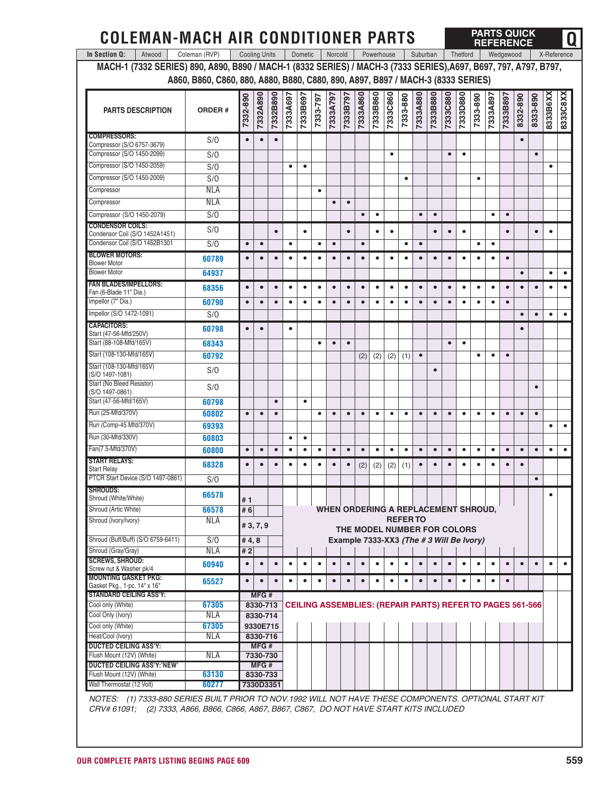| <b>COLEMAN-MACH AIR CONDITIONER PARTS</b>                                                                        |                                                                                 |                      |                      |           |           |           |           |           |           |                                                                  |            |           |                |           |           |                 |           |           |           | <b>PARTS QUICK</b><br><b>REFERENCE</b> |           |           |             | 0               |
|------------------------------------------------------------------------------------------------------------------|---------------------------------------------------------------------------------|----------------------|----------------------|-----------|-----------|-----------|-----------|-----------|-----------|------------------------------------------------------------------|------------|-----------|----------------|-----------|-----------|-----------------|-----------|-----------|-----------|----------------------------------------|-----------|-----------|-------------|-----------------|
| In Section Q:<br>Atwood                                                                                          | Coleman (RVP)                                                                   | <b>Cooling Units</b> |                      |           |           | Dometic   |           | Norcold   |           |                                                                  | Powerhouse |           |                | Suburban  |           |                 | Thetford  |           |           | Wedgewood                              |           |           | X-Reference |                 |
| MACH-1 (7332 SERIES) 890, A890, B890 / MACH-1 (8332 SERIES) / MACH-3 (7333 SERIES), A697, B697, 797, A797, B797, |                                                                                 |                      |                      |           |           |           |           |           |           |                                                                  |            |           |                |           |           |                 |           |           |           |                                        |           |           |             |                 |
|                                                                                                                  | A860, B860, C860, 880, A880, B880, C880, 890, A897, B897 / MACH-3 (8333 SERIES) |                      |                      |           |           |           |           |           |           |                                                                  |            |           |                |           |           |                 |           |           |           |                                        |           |           |             |                 |
| <b>PARTS DESCRIPTION</b>                                                                                         | <b>ORDER#</b>                                                                   | 7332-890             | 7332A890             | 7332B890  | 7333A697  | 7333B697  | 7333-797  | 7333A797  | 7333B797  | 7333A860                                                         | 7333B860   | 7333C860  | 7333-880       | 7333A880  | 7333B880  | <b>7333C880</b> | 7333D880  | 7333-890  | 7333A897  | 7333B897                               | 8332-890  | 8333-890  | 8333B6XX    | <b>B333CBXX</b> |
| <b>COMPRESSORS:</b>                                                                                              | S/O                                                                             | $\bullet$            | $\bullet$            | $\bullet$ |           |           |           |           |           |                                                                  |            |           |                |           |           |                 |           |           |           |                                        | $\bullet$ |           |             |                 |
| Compressor (S/O 6757-3679)<br>Compressor (S/O 1450-2099)                                                         | S/O                                                                             |                      |                      |           |           |           |           |           |           |                                                                  |            | ٠         |                |           |           | $\bullet$       | ٠         |           |           |                                        |           | $\bullet$ |             |                 |
| Compressor (S/O 1450-2059)                                                                                       | S/O                                                                             |                      |                      |           | $\bullet$ | $\bullet$ |           |           |           |                                                                  |            |           |                |           |           |                 |           |           |           |                                        |           |           | ٠           |                 |
| Compressor (S/O 1450-2009)                                                                                       | S/O                                                                             |                      |                      |           |           |           |           |           |           |                                                                  |            |           | ٠              |           |           |                 |           | $\bullet$ |           |                                        |           |           |             |                 |
| Compressor                                                                                                       | <b>NLA</b>                                                                      |                      |                      |           |           |           | $\bullet$ |           |           |                                                                  |            |           |                |           |           |                 |           |           |           |                                        |           |           |             |                 |
| Compressor                                                                                                       | <b>NLA</b>                                                                      |                      |                      |           |           |           |           | $\bullet$ | $\bullet$ |                                                                  |            |           |                |           |           |                 |           |           |           |                                        |           |           |             |                 |
| Compressor (S/O 1450-2079)                                                                                       | S/O                                                                             |                      |                      |           |           |           |           |           |           | $\bullet$                                                        | ٠          |           |                | $\bullet$ | $\bullet$ |                 |           |           | ٠         | $\bullet$                              |           |           |             |                 |
| <b>CONDENSOR COILS:</b>                                                                                          |                                                                                 |                      |                      |           |           |           |           |           |           |                                                                  |            |           |                |           |           |                 |           |           |           |                                        |           |           |             |                 |
| Condensor Coil (S/O 1452A1451)<br>Condensor Coil (S/O 1452B1301                                                  | S/O<br>S/O                                                                      | $\bullet$            | $\bullet$            | $\bullet$ | $\bullet$ | $\bullet$ | $\bullet$ | $\bullet$ | $\bullet$ | $\bullet$                                                        | ٠          | $\bullet$ | $\bullet$      | $\bullet$ | $\bullet$ | $\bullet$       | $\bullet$ | $\bullet$ | $\bullet$ | $\bullet$                              |           | $\bullet$ | $\bullet$   |                 |
| <b>BLOWER MOTORS:</b>                                                                                            |                                                                                 |                      |                      |           |           |           |           |           |           |                                                                  |            |           |                |           |           |                 |           |           |           |                                        |           |           |             |                 |
| <b>Blower Motor</b>                                                                                              | 60789                                                                           | $\bullet$            | $\bullet$            | $\bullet$ | $\bullet$ | $\bullet$ | $\bullet$ | $\bullet$ | $\bullet$ | $\bullet$                                                        | $\bullet$  | $\bullet$ | $\bullet$      | $\bullet$ | $\bullet$ | $\bullet$       | $\bullet$ | $\bullet$ | $\bullet$ | $\bullet$                              |           |           |             |                 |
| <b>Blower Motor</b>                                                                                              | 64937                                                                           |                      |                      |           |           |           |           |           |           |                                                                  |            |           |                |           |           |                 |           |           |           |                                        | $\bullet$ |           | $\bullet$   | $\bullet$       |
| <b>FAN BLADES/IMPELLORS:</b><br>Fan (6-Blade 11" Dia.)                                                           | 68356                                                                           | $\bullet$            | $\bullet$            | $\bullet$ | $\bullet$ | $\bullet$ | $\bullet$ | $\bullet$ | $\bullet$ | $\bullet$                                                        | $\bullet$  | $\bullet$ | $\bullet$      | $\bullet$ | $\bullet$ | $\bullet$       | $\bullet$ | $\bullet$ | $\bullet$ | $\bullet$                              | $\bullet$ | $\bullet$ | $\bullet$   |                 |
| Impellor (7" Dia.)                                                                                               | 60790                                                                           | $\bullet$            | $\bullet$            | $\bullet$ | $\bullet$ | $\bullet$ | $\bullet$ | $\bullet$ | $\bullet$ | $\bullet$                                                        | $\bullet$  | $\bullet$ | $\bullet$      | $\bullet$ | $\bullet$ | $\bullet$       | $\bullet$ | $\bullet$ | $\bullet$ | $\bullet$                              |           |           |             |                 |
| Impellor (S/O 1472-1091)                                                                                         | S/O                                                                             |                      |                      |           |           |           |           |           |           |                                                                  |            |           |                |           |           |                 |           |           |           |                                        | $\bullet$ | $\bullet$ | $\bullet$   | ٠               |
| <b>CAPACITORS:</b>                                                                                               | 60798                                                                           | $\bullet$            | $\bullet$            |           | $\bullet$ |           |           |           |           |                                                                  |            |           |                |           |           |                 |           |           |           |                                        | $\bullet$ |           |             |                 |
| Start (47-56-Mfd/250V)<br>Start (88-108-Mfd/165V)                                                                | 68343                                                                           |                      |                      |           |           |           | $\bullet$ | $\bullet$ | $\bullet$ |                                                                  |            |           |                |           |           | $\bullet$       | $\bullet$ |           |           |                                        |           |           |             |                 |
| Start (108-130-Mfd/165V)                                                                                         | 60792                                                                           |                      |                      |           |           |           |           |           |           | (2)                                                              | (2)        | (2)       | (1)            | $\bullet$ |           |                 |           | $\bullet$ | $\bullet$ | $\bullet$                              |           |           |             |                 |
| Start (108-130-Mfd/165V)<br>(S/O 1497-1081)                                                                      | S/O                                                                             |                      |                      |           |           |           |           |           |           |                                                                  |            |           |                |           | $\bullet$ |                 |           |           |           |                                        |           |           |             |                 |
| Start (No Bleed Resistor)<br>(S/O 1497-0861)                                                                     | S/O                                                                             |                      |                      |           |           |           |           |           |           |                                                                  |            |           |                |           |           |                 |           |           |           |                                        |           |           |             |                 |
| Start (47-56-Mfd/165V)                                                                                           | 60798                                                                           |                      |                      | $\bullet$ |           | $\bullet$ |           |           |           |                                                                  |            |           |                |           |           |                 |           |           |           |                                        |           |           |             |                 |
| Run (25-Mfd/370V)                                                                                                | 60802                                                                           | $\bullet$            | $\bullet$            | $\bullet$ |           |           | ٠         | $\bullet$ | $\bullet$ | $\bullet$                                                        | ٠          | $\bullet$ | ٠              | $\bullet$ | $\bullet$ | $\bullet$       | $\bullet$ | ٠         | ٠         | $\bullet$                              | $\bullet$ | $\bullet$ |             |                 |
| Run (Comp-45 Mfd/370V)                                                                                           | 69393                                                                           |                      |                      |           |           |           |           |           |           |                                                                  |            |           |                |           |           |                 |           |           |           |                                        |           |           | ٠           |                 |
| Run (30-Mfd/330V)                                                                                                | 60803                                                                           |                      |                      |           | $\bullet$ | ٠         |           |           |           |                                                                  |            |           |                |           |           |                 |           |           |           |                                        |           |           |             |                 |
| Fan(7.5-Mfd/370V)                                                                                                | 60800                                                                           | $\bullet$            | $\bullet$            | $\bullet$ | $\bullet$ | ٠         | $\bullet$ | $\bullet$ | $\bullet$ | $\bullet$                                                        | ٠          | ٠         | $\bullet$      | $\bullet$ | $\bullet$ | $\bullet$       | $\bullet$ | ٠         | $\bullet$ | $\bullet$                              | $\bullet$ | $\bullet$ | $\bullet$   |                 |
| <b>START RELAYS:</b><br><b>Start Relay</b>                                                                       | 68328                                                                           | $\bullet$            | $\bullet$            | $\bullet$ | ٠         | ٠         | $\bullet$ | $\bullet$ | $\bullet$ | (2)                                                              | (2)        | (2)       | (1)            | $\bullet$ | $\bullet$ | $\bullet$       | $\bullet$ | ٠         | $\bullet$ | $\bullet$                              | $\bullet$ |           |             |                 |
| PTCR Start Device (S/O 1497-0861)                                                                                | S/O                                                                             |                      |                      |           |           |           |           |           |           |                                                                  |            |           |                |           |           |                 |           |           |           |                                        |           |           |             |                 |
| <b>SHROUDS:</b><br>Shroud (White/White)                                                                          | 66578                                                                           |                      |                      |           |           |           |           |           |           |                                                                  |            |           |                |           |           |                 |           |           |           |                                        |           |           | $\bullet$   |                 |
| Shroud (Artic White)                                                                                             | 66578                                                                           | #1<br># 6            |                      |           |           |           |           |           |           | WHEN ORDERING A REPLACEMENT SHROUD,                              |            |           |                |           |           |                 |           |           |           |                                        |           |           |             |                 |
| Shroud (Ivory/Ivory)                                                                                             | NLA                                                                             |                      | #3,7,9               |           |           |           |           |           |           | THE MODEL NUMBER FOR COLORS                                      |            |           | <b>REFERTO</b> |           |           |                 |           |           |           |                                        |           |           |             |                 |
| Shroud (Buff/Buff) (S/O 6759-6411)                                                                               | S/O                                                                             | #4,8                 |                      |           |           |           |           |           |           | Example 7333-XX3 (The #3 Will Be Ivory)                          |            |           |                |           |           |                 |           |           |           |                                        |           |           |             |                 |
| Shroud (Gray/Gray)                                                                                               | <b>NLA</b>                                                                      | #2                   |                      |           |           |           |           |           |           |                                                                  |            |           |                |           |           |                 |           |           |           |                                        |           |           |             |                 |
| <b>SCREWS, SHROUD:</b>                                                                                           | 60940                                                                           | $\bullet$            | $\bullet$            | $\bullet$ | $\bullet$ | $\bullet$ | $\bullet$ | $\bullet$ | $\bullet$ | $\bullet$                                                        | $\bullet$  | $\bullet$ | $\bullet$      | $\bullet$ | $\bullet$ | $\bullet$       | $\bullet$ | $\bullet$ | $\bullet$ | $\bullet$                              | $\bullet$ | $\bullet$ | $\bullet$   |                 |
| Screw nut & Washer pk/4<br><b>MOUNTING GASKET PKG:</b>                                                           |                                                                                 |                      |                      |           |           |           |           |           |           |                                                                  |            |           |                |           |           |                 |           |           |           |                                        |           |           |             |                 |
| Gasket Pkg., 1-pc. 14" x 16"                                                                                     | 65527                                                                           | $\bullet$            | $\bullet$            | $\bullet$ | $\bullet$ | ٠         | $\bullet$ | $\bullet$ | $\bullet$ | $\bullet$                                                        | ٠          | ٠         | $\bullet$      | $\bullet$ | $\bullet$ | $\bullet$       | $\bullet$ | ٠         | ٠         | $\bullet$                              |           |           |             |                 |
| <b>STANDARD CEILING ASS'Y:</b>                                                                                   |                                                                                 |                      | MFG#                 |           |           |           |           |           |           |                                                                  |            |           |                |           |           |                 |           |           |           |                                        |           |           |             |                 |
| Cool only (White)<br>Cool Only (Ivory)                                                                           | 67305<br><b>NLA</b>                                                             |                      | 8330-713<br>8330-714 |           |           |           |           |           |           | <b>CEILING ASSEMBLIES: (REPAIR PARTS) REFER TO PAGES 561-566</b> |            |           |                |           |           |                 |           |           |           |                                        |           |           |             |                 |
| Cool only (White)                                                                                                | 67305                                                                           |                      | 9330E715             |           |           |           |           |           |           |                                                                  |            |           |                |           |           |                 |           |           |           |                                        |           |           |             |                 |
| Heat/Cool (Ivory)                                                                                                | <b>NLA</b>                                                                      |                      | 8330-716             |           |           |           |           |           |           |                                                                  |            |           |                |           |           |                 |           |           |           |                                        |           |           |             |                 |
| <b>DUCTED CEILING ASS'Y:</b>                                                                                     |                                                                                 |                      | MFG#                 |           |           |           |           |           |           |                                                                  |            |           |                |           |           |                 |           |           |           |                                        |           |           |             |                 |
| Flush Mount (12V) (White)                                                                                        | NLA                                                                             |                      | 7330-730             |           |           |           |           |           |           |                                                                  |            |           |                |           |           |                 |           |           |           |                                        |           |           |             |                 |
| DUCTED CEILING ASS'Y:'NEW'<br>Flush Mount (12V) (White)                                                          | 63130                                                                           |                      | MFG#<br>8330-733     |           |           |           |           |           |           |                                                                  |            |           |                |           |           |                 |           |           |           |                                        |           |           |             |                 |
| Wall Thermostat (12 Volt)                                                                                        | 60277                                                                           |                      |                      | 7330D3351 |           |           |           |           |           |                                                                  |            |           |                |           |           |                 |           |           |           |                                        |           |           |             |                 |
| NOTES: (1) 7333-880 SERIES BUILT PRIOR TO NOV 1992 WILL NOT HAVE THESE COMPONENTS, OPTIONAL START KIT            |                                                                                 |                      |                      |           |           |           |           |           |           |                                                                  |            |           |                |           |           |                 |           |           |           |                                        |           |           |             |                 |

*NOTES: (1) 7333-880 SERIES BUILT PRIOR TO NOV.1992 WILL NOT HAVE THESE COMPONENTS. OPTIONAL START KIT CRV# 61091; (2) 7333, A866, B866, C866, A867, B867, C867, DO NOT HAVE START KITS INCLUDED*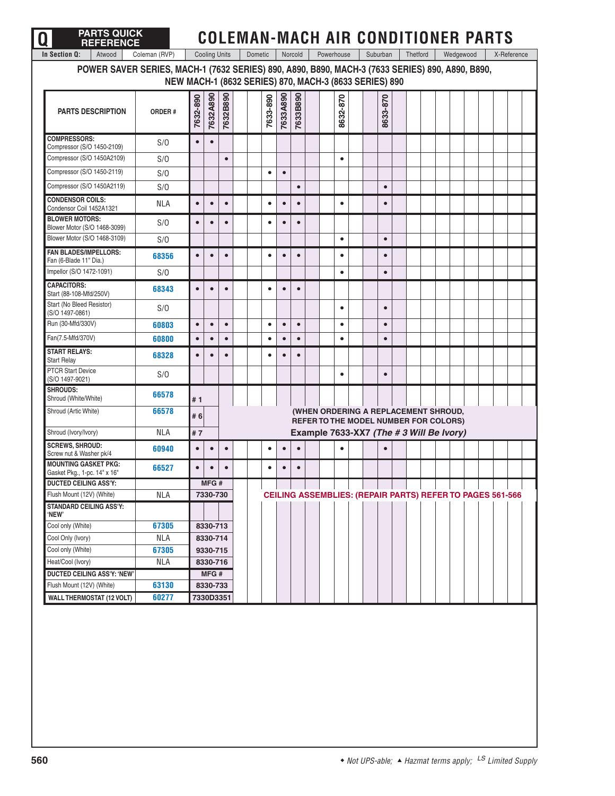| <b>PARTS QUICK</b><br><b>REFERENCE</b>                                                          |                                                        |           |                      |           |         |           |           |           |            |           |  |           |          |                                                                                      |           | <b>COLEMAN-MACH AIR CONDITIONER PARTS</b> |                                                                  |  |
|-------------------------------------------------------------------------------------------------|--------------------------------------------------------|-----------|----------------------|-----------|---------|-----------|-----------|-----------|------------|-----------|--|-----------|----------|--------------------------------------------------------------------------------------|-----------|-------------------------------------------|------------------------------------------------------------------|--|
| Atwood<br>In Section Q:                                                                         | Coleman (RVP)                                          |           | <b>Cooling Units</b> |           | Dometic |           |           | Norcold   | Powerhouse |           |  | Suburban  | Thetford |                                                                                      | Wedgewood |                                           | X-Reference                                                      |  |
| POWER SAVER SERIES, MACH-1 (7632 SERIES) 890, A890, B890, MACH-3 (7633 SERIES) 890, A890, B890, | NEW MACH-1 (8632 SERIES) 870, MACH-3 (8633 SERIES) 890 |           |                      |           |         |           |           |           |            |           |  |           |          |                                                                                      |           |                                           |                                                                  |  |
| <b>PARTS DESCRIPTION</b>                                                                        | ORDER#                                                 | 7632-890  | 7632A890             | 7632B890  |         | 7633-890  | 7633A890  | 7633B890  |            | 8632-870  |  | 8633-870  |          |                                                                                      |           |                                           |                                                                  |  |
| <b>COMPRESSORS:</b><br>Compressor (S/O 1450-2109)                                               | S/O                                                    | $\bullet$ | $\bullet$            |           |         |           |           |           |            |           |  |           |          |                                                                                      |           |                                           |                                                                  |  |
| Compressor (S/O 1450A2109)                                                                      | S/O                                                    |           |                      | $\bullet$ |         |           |           |           |            | $\bullet$ |  |           |          |                                                                                      |           |                                           |                                                                  |  |
| Compressor (S/O 1450-2119)                                                                      | S/O                                                    |           |                      |           |         | $\bullet$ | $\bullet$ |           |            |           |  |           |          |                                                                                      |           |                                           |                                                                  |  |
| Compressor (S/O 1450A2119)                                                                      | S/O                                                    |           |                      |           |         |           |           | $\bullet$ |            |           |  | $\bullet$ |          |                                                                                      |           |                                           |                                                                  |  |
| <b>CONDENSOR COILS:</b><br>Condensor Coil 1452A1321                                             | <b>NLA</b>                                             | $\bullet$ | $\bullet$            | $\bullet$ |         | ٠         | $\bullet$ | $\bullet$ |            | $\bullet$ |  | $\bullet$ |          |                                                                                      |           |                                           |                                                                  |  |
| <b>BLOWER MOTORS:</b><br>Blower Motor (S/O 1468-3099)                                           | S/O                                                    | $\bullet$ | $\bullet$            | $\bullet$ |         | ٠         | $\bullet$ | $\bullet$ |            |           |  |           |          |                                                                                      |           |                                           |                                                                  |  |
| Blower Motor (S/O 1468-3109)                                                                    | S/O                                                    |           |                      |           |         |           |           |           |            | $\bullet$ |  | $\bullet$ |          |                                                                                      |           |                                           |                                                                  |  |
| <b>FAN BLADES/IMPELLORS:</b><br>Fan (6-Blade 11" Dia.)                                          | 68356                                                  | $\bullet$ | $\bullet$            |           |         | $\bullet$ | $\bullet$ | $\bullet$ |            | $\bullet$ |  | $\bullet$ |          |                                                                                      |           |                                           |                                                                  |  |
| Impellor (S/O 1472-1091)                                                                        | S/O                                                    |           |                      |           |         |           |           |           |            | $\bullet$ |  | $\bullet$ |          |                                                                                      |           |                                           |                                                                  |  |
| <b>CAPACITORS:</b><br>Start (88-108-Mfd/250V)                                                   | 68343                                                  | $\bullet$ | $\bullet$            | $\bullet$ |         | ٠         | $\bullet$ | $\bullet$ |            |           |  |           |          |                                                                                      |           |                                           |                                                                  |  |
| Start (No Bleed Resistor)<br>(S/O 1497-0861)                                                    | S/O                                                    |           |                      |           |         |           |           |           |            | $\bullet$ |  | $\bullet$ |          |                                                                                      |           |                                           |                                                                  |  |
| Run (30-Mfd/330V)                                                                               | 60803                                                  | $\bullet$ | $\bullet$            | $\bullet$ |         | $\bullet$ | $\bullet$ | $\bullet$ |            | $\bullet$ |  | $\bullet$ |          |                                                                                      |           |                                           |                                                                  |  |
| Fan(7.5-Mfd/370V)                                                                               | 60800                                                  | $\bullet$ | $\bullet$            | $\bullet$ |         | ٠         | $\bullet$ | $\bullet$ |            | $\bullet$ |  | $\bullet$ |          |                                                                                      |           |                                           |                                                                  |  |
| <b>START RELAYS:</b><br><b>Start Relay</b>                                                      | 68328                                                  | $\bullet$ | $\bullet$            | $\bullet$ |         | ٠         | $\bullet$ | $\bullet$ |            |           |  |           |          |                                                                                      |           |                                           |                                                                  |  |
| <b>PTCR Start Device</b><br>(S/O 1497-9021)                                                     | S/O                                                    |           |                      |           |         |           |           |           |            | $\bullet$ |  | $\bullet$ |          |                                                                                      |           |                                           |                                                                  |  |
| <b>SHROUDS:</b><br>Shroud (White/White)                                                         | 66578                                                  | # 1       |                      |           |         |           |           |           |            |           |  |           |          |                                                                                      |           |                                           |                                                                  |  |
| Shroud (Artic White)                                                                            | 66578                                                  | # 6       |                      |           |         |           |           |           |            |           |  |           |          | (WHEN ORDERING A REPLACEMENT SHROUD,<br><b>REFER TO THE MODEL NUMBER FOR COLORS)</b> |           |                                           |                                                                  |  |
| Shroud (Ivory/Ivory)                                                                            | <b>NLA</b>                                             | #7        |                      |           |         |           |           |           |            |           |  |           |          | Example 7633-XX7 (The #3 Will Be Ivory)                                              |           |                                           |                                                                  |  |
| <b>SCREWS, SHROUD:</b><br>Screw nut & Washer pk/4                                               | 60940                                                  | $\bullet$ | $\bullet$            | $\bullet$ |         | $\bullet$ | $\bullet$ | $\bullet$ |            | $\bullet$ |  | $\bullet$ |          |                                                                                      |           |                                           |                                                                  |  |
| <b>MOUNTING GASKET PKG:</b><br>Gasket Pkg., 1-pc. 14" x 16"                                     | 66527                                                  | $\bullet$ | $\bullet$            | $\bullet$ |         | ٠         | $\bullet$ | $\bullet$ |            |           |  |           |          |                                                                                      |           |                                           |                                                                  |  |
| <b>DUCTED CEILING ASS'Y:</b>                                                                    |                                                        |           | MFG #                |           |         |           |           |           |            |           |  |           |          |                                                                                      |           |                                           |                                                                  |  |
| Flush Mount (12V) (White)                                                                       | <b>NLA</b>                                             |           | 7330-730             |           |         |           |           |           |            |           |  |           |          |                                                                                      |           |                                           | <b>CEILING ASSEMBLIES: (REPAIR PARTS) REFER TO PAGES 561-566</b> |  |
| <b>STANDARD CEILING ASS'Y:</b><br>'NEW'                                                         |                                                        |           |                      |           |         |           |           |           |            |           |  |           |          |                                                                                      |           |                                           |                                                                  |  |
| Cool only (White)                                                                               | 67305                                                  |           | 8330-713             |           |         |           |           |           |            |           |  |           |          |                                                                                      |           |                                           |                                                                  |  |
| Cool Only (Ivory)                                                                               | <b>NLA</b>                                             |           | 8330-714             |           |         |           |           |           |            |           |  |           |          |                                                                                      |           |                                           |                                                                  |  |
| Cool only (White)                                                                               | 67305                                                  |           | 9330-715             |           |         |           |           |           |            |           |  |           |          |                                                                                      |           |                                           |                                                                  |  |
| Heat/Cool (Ivory)                                                                               | NLA                                                    |           | 8330-716             |           |         |           |           |           |            |           |  |           |          |                                                                                      |           |                                           |                                                                  |  |
| DUCTED CEILING ASS'Y: 'NEW'                                                                     |                                                        |           | MFG#                 |           |         |           |           |           |            |           |  |           |          |                                                                                      |           |                                           |                                                                  |  |
| Flush Mount (12V) (White)                                                                       | 63130                                                  |           | 8330-733             |           |         |           |           |           |            |           |  |           |          |                                                                                      |           |                                           |                                                                  |  |
| <b>WALL THERMOSTAT (12 VOLT)</b>                                                                | 60277                                                  |           |                      | 7330D3351 |         |           |           |           |            |           |  |           |          |                                                                                      |           |                                           |                                                                  |  |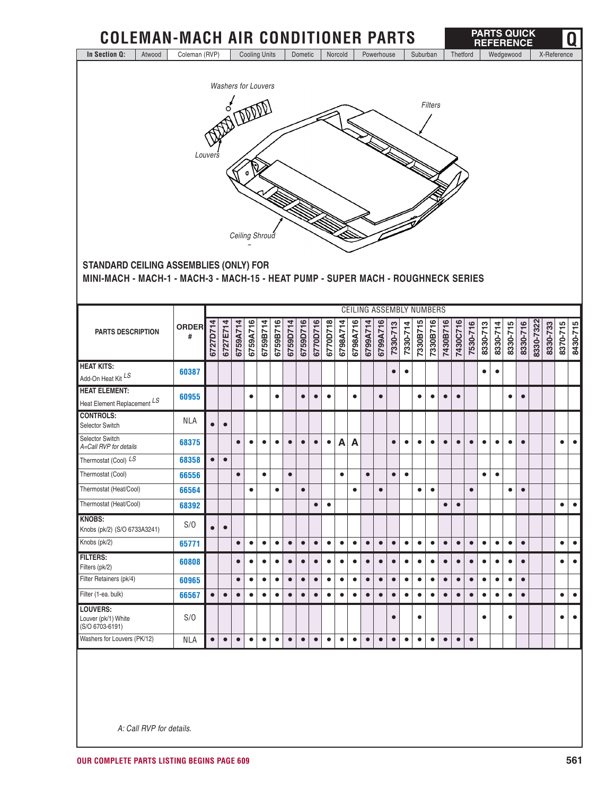| In Section Q:<br>Atwood                                                           | <b>COLEMAN-MACH AIR CONDITIONER PARTS</b> |           |           |           |           |                            |           |           |           |           |           |           |              |            |           |                                 |           |           |                |           |           |           |           |           |           | <b>PARTS QUICK</b><br><b>REFERENCE</b> |           |          |             | Q                                   |
|-----------------------------------------------------------------------------------|-------------------------------------------|-----------|-----------|-----------|-----------|----------------------------|-----------|-----------|-----------|-----------|-----------|-----------|--------------|------------|-----------|---------------------------------|-----------|-----------|----------------|-----------|-----------|-----------|-----------|-----------|-----------|----------------------------------------|-----------|----------|-------------|-------------------------------------|
|                                                                                   | Coleman (RVP)                             |           |           |           |           | <b>Cooling Units</b>       |           |           | Dometic   |           |           | Norcold   |              | Powerhouse |           |                                 |           | Suburban  |                |           | Thetford  |           |           |           | Wedgewood |                                        |           |          | X-Reference |                                     |
|                                                                                   |                                           |           |           |           |           | <b>Washers for Louvers</b> |           |           |           |           |           |           |              |            |           |                                 |           |           |                |           |           |           |           |           |           |                                        |           |          |             |                                     |
|                                                                                   |                                           |           |           |           |           |                            |           |           |           |           |           |           |              |            |           |                                 |           |           |                |           |           |           |           |           |           |                                        |           |          |             |                                     |
|                                                                                   |                                           |           | o         |           |           |                            |           |           |           |           |           |           |              |            |           |                                 |           |           | <b>Filters</b> |           |           |           |           |           |           |                                        |           |          |             |                                     |
|                                                                                   |                                           |           |           |           |           |                            |           |           |           |           |           |           |              |            |           |                                 |           |           |                |           |           |           |           |           |           |                                        |           |          |             |                                     |
|                                                                                   |                                           |           |           |           |           |                            |           |           |           |           |           |           |              |            |           |                                 |           |           |                |           |           |           |           |           |           |                                        |           |          |             |                                     |
|                                                                                   |                                           | Louvers   |           |           |           |                            |           |           |           |           |           |           |              |            |           |                                 |           |           |                |           |           |           |           |           |           |                                        |           |          |             |                                     |
|                                                                                   |                                           |           |           |           | ¢         |                            |           |           |           |           |           |           |              |            |           |                                 |           |           |                |           |           |           |           |           |           |                                        |           |          |             |                                     |
|                                                                                   |                                           |           |           |           |           |                            |           |           |           |           |           |           |              |            |           |                                 |           |           |                |           |           |           |           |           |           |                                        |           |          |             |                                     |
|                                                                                   |                                           |           |           |           |           |                            |           |           |           |           |           |           |              |            |           |                                 |           |           |                |           |           |           |           |           |           |                                        |           |          |             |                                     |
|                                                                                   |                                           |           |           |           |           |                            |           |           |           |           |           |           |              |            |           |                                 |           |           |                |           |           |           |           |           |           |                                        |           |          |             |                                     |
|                                                                                   |                                           |           |           |           |           | Ceiling Shroud             |           |           |           |           |           |           |              |            |           |                                 |           |           |                |           |           |           |           |           |           |                                        |           |          |             |                                     |
| <b>STANDARD CEILING ASSEMBLIES (ONLY) FOR</b>                                     |                                           |           |           |           |           |                            |           |           |           |           |           |           |              |            |           |                                 |           |           |                |           |           |           |           |           |           |                                        |           |          |             |                                     |
| MINI-MACH - MACH-1 - MACH-3 - MACH-15 - HEAT PUMP - SUPER MACH - ROUGHNECK SERIES |                                           |           |           |           |           |                            |           |           |           |           |           |           |              |            |           |                                 |           |           |                |           |           |           |           |           |           |                                        |           |          |             |                                     |
|                                                                                   |                                           |           |           |           |           |                            |           |           |           |           |           |           |              |            |           |                                 |           |           |                |           |           |           |           |           |           |                                        |           |          |             |                                     |
|                                                                                   |                                           |           |           |           |           |                            |           |           |           |           |           |           |              |            |           | <b>CEILING ASSEMBLY NUMBERS</b> |           |           |                |           |           |           |           |           |           |                                        |           |          |             |                                     |
|                                                                                   | <b>ORDER</b>                              |           |           |           |           |                            |           |           |           |           |           |           |              |            |           |                                 |           |           |                |           |           |           |           |           |           |                                        |           |          |             |                                     |
| <b>PARTS DESCRIPTION</b>                                                          | #                                         | 6727D714  | 6727E714  | 6759A714  | 6759A716  | 6759B714                   | 6759B716  | 6759D714  | 6759D716  | 6770D716  | 6770D718  | 6798A714  | 6798A716     | 6799A714   | 6799A716  | 7330-713                        | 7330-714  | 7330B715  | 7330B716       | 7430B716  | 7430C716  | 7530-716  | 8330-713  | 8330-714  | 8330-715  | 8330-716                               | 8330-7322 | 8330-733 | 8370-715    | 8430-715                            |
|                                                                                   |                                           |           |           |           |           |                            |           |           |           |           |           |           |              |            |           |                                 |           |           |                |           |           |           |           |           |           |                                        |           |          |             |                                     |
| <b>HEAT KITS:</b><br>Add-On Heat Kit LS                                           | 60387                                     |           |           |           |           |                            |           |           |           |           |           |           |              |            |           | $\bullet$                       | $\bullet$ |           |                |           |           |           | $\bullet$ | $\bullet$ |           |                                        |           |          |             |                                     |
| <b>HEAT ELEMENT:</b>                                                              |                                           |           |           |           |           |                            |           |           |           |           |           |           |              |            |           |                                 |           |           |                |           |           |           |           |           |           |                                        |           |          |             |                                     |
| Heat Element Replacement LS                                                       | 60955                                     |           |           |           | $\bullet$ |                            | $\bullet$ |           | $\bullet$ | $\bullet$ | $\bullet$ |           | $\bullet$    |            | $\bullet$ |                                 |           | $\bullet$ | $\bullet$      | $\bullet$ | $\bullet$ |           |           |           | $\bullet$ | $\bullet$                              |           |          |             |                                     |
| <b>CONTROLS:</b><br>Selector Switch                                               | <b>NLA</b>                                | $\bullet$ | $\bullet$ |           |           |                            |           |           |           |           |           |           |              |            |           |                                 |           |           |                |           |           |           |           |           |           |                                        |           |          |             |                                     |
| Selector Switch                                                                   | 68375                                     |           |           | $\bullet$ | $\bullet$ | $\bullet$                  | $\bullet$ | $\bullet$ | $\bullet$ | $\bullet$ | $\bullet$ | A         | $\mathbf{A}$ |            |           | $\bullet$                       | $\bullet$ | $\bullet$ | $\bullet$      | $\bullet$ | $\bullet$ | $\bullet$ | $\bullet$ | $\bullet$ | $\bullet$ | $\bullet$                              |           |          | $\bullet$   | $\bullet$                           |
| A=Call RVP for details<br>Thermostat (Cool) LS                                    |                                           | $\bullet$ |           |           |           |                            |           |           |           |           |           |           |              |            |           |                                 |           |           |                |           |           |           |           |           |           |                                        |           |          |             |                                     |
| Thermostat (Cool)                                                                 | 68358<br>66556                            |           | $\bullet$ | $\bullet$ |           | $\bullet$                  |           | $\bullet$ |           |           |           | $\bullet$ |              | $\bullet$  |           | $\bullet$                       | $\bullet$ |           |                |           |           |           | $\bullet$ | $\bullet$ |           |                                        |           |          |             |                                     |
| Thermostat (Heat/Cool)                                                            | 66564                                     |           |           |           | $\bullet$ |                            | $\bullet$ |           | $\bullet$ |           |           |           | $\bullet$    |            | $\bullet$ |                                 |           | $\bullet$ | $\bullet$      |           |           | $\bullet$ |           |           | $\bullet$ | $\bullet$                              |           |          |             |                                     |
| Thermostat (Heat/Cool)                                                            | 68392                                     |           |           |           |           |                            |           |           |           | $\bullet$ | $\bullet$ |           |              |            |           |                                 |           |           |                | $\bullet$ | $\bullet$ |           |           |           |           |                                        |           |          | $\bullet$   | $\bullet$                           |
|                                                                                   |                                           |           |           |           |           |                            |           |           |           |           |           |           |              |            |           |                                 |           |           |                |           |           |           |           |           |           |                                        |           |          |             |                                     |
| <b>KNOBS:</b>                                                                     |                                           |           |           |           |           |                            |           |           |           |           |           |           |              |            |           |                                 |           |           |                |           |           |           |           |           |           |                                        |           |          |             |                                     |
| Knobs (pk/2) (S/O 6733A3241)                                                      | S/O                                       | $\bullet$ | $\bullet$ |           |           |                            |           |           |           |           |           |           |              |            |           |                                 |           |           |                |           |           |           |           |           |           |                                        |           |          |             |                                     |
| Knobs (pk/2)                                                                      | 65771                                     |           |           | $\bullet$ | $\bullet$ | $\bullet$                  | $\bullet$ | $\bullet$ | $\bullet$ | $\bullet$ | $\bullet$ | $\bullet$ | $\bullet$    | $\bullet$  | $\bullet$ | $\bullet$                       | $\bullet$ | $\bullet$ | $\bullet$      | $\bullet$ | $\bullet$ | $\bullet$ | $\bullet$ | $\bullet$ | $\bullet$ | $\bullet$                              |           |          | $\bullet$   |                                     |
| <b>FILTERS:</b><br>Filters (pk/2)                                                 | 60808                                     |           |           | $\bullet$ | $\bullet$ | $\bullet$                  | $\bullet$ | $\bullet$ | $\bullet$ | $\bullet$ | $\bullet$ | $\bullet$ | $\bullet$    | $\bullet$  | $\bullet$ | $\bullet$                       | $\bullet$ | $\bullet$ | $\bullet$      | $\bullet$ | $\bullet$ | $\bullet$ | $\bullet$ | $\bullet$ | $\bullet$ | $\bullet$                              |           |          | $\bullet$   |                                     |
| Filter Retainers (pk/4)                                                           | 60965                                     |           |           | $\bullet$ | $\bullet$ | $\bullet$                  | $\bullet$ | $\bullet$ | $\bullet$ | $\bullet$ | $\bullet$ | $\bullet$ | $\bullet$    | $\bullet$  | $\bullet$ | $\bullet$                       | $\bullet$ | $\bullet$ | $\bullet$      | $\bullet$ | $\bullet$ | $\bullet$ | $\bullet$ | $\bullet$ | $\bullet$ | $\bullet$                              |           |          |             |                                     |
| Filter (1-ea. bulk)                                                               | 66567                                     | $\bullet$ | $\bullet$ | $\bullet$ | $\bullet$ | $\bullet$                  | $\bullet$ | $\bullet$ | $\bullet$ | $\bullet$ | $\bullet$ | $\bullet$ | $\bullet$    | $\bullet$  | $\bullet$ | $\bullet$                       | $\bullet$ | $\bullet$ | $\bullet$      | $\bullet$ | $\bullet$ | $\bullet$ | $\bullet$ | $\bullet$ | $\bullet$ | $\bullet$                              |           |          | $\bullet$   | $\bullet$<br>$\bullet$<br>$\bullet$ |
| LOUVERS:<br>Louver (pk/1) White<br>(S/O 6703-6191)                                | S/O                                       |           |           |           |           |                            |           |           |           |           |           |           |              |            |           | $\bullet$                       |           | $\bullet$ |                |           |           |           | $\bullet$ |           | $\bullet$ |                                        |           |          | $\bullet$   | $\bullet$                           |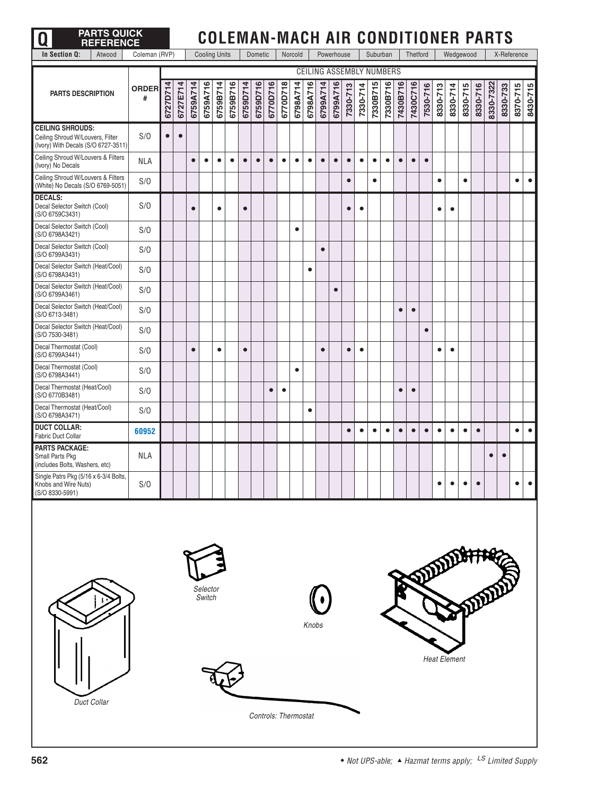| <b>PARTS QUICK</b><br>Ω<br><b>REFERENCE</b>                                                        |                   |           |           |           |                      |           |           |           |                      |           |           |           |           |           |            |           |                                 |           |           |           |           |           |                     |           |           | <b>COLEMAN-MACH AIR CONDITIONER PARTS</b> |           |           |             |           |
|----------------------------------------------------------------------------------------------------|-------------------|-----------|-----------|-----------|----------------------|-----------|-----------|-----------|----------------------|-----------|-----------|-----------|-----------|-----------|------------|-----------|---------------------------------|-----------|-----------|-----------|-----------|-----------|---------------------|-----------|-----------|-------------------------------------------|-----------|-----------|-------------|-----------|
| In Section Q:<br>Atwood                                                                            | Coleman (RVP)     |           |           |           | <b>Cooling Units</b> |           |           |           | Dometic              |           |           | Norcold   |           |           | Powerhouse |           |                                 | Suburban  |           |           | Thetford  |           |                     | Wedgewood |           |                                           |           |           | X-Reference |           |
|                                                                                                    |                   |           |           |           |                      |           |           |           |                      |           |           |           |           |           |            |           | <b>CEILING ASSEMBLY NUMBERS</b> |           |           |           |           |           |                     |           |           |                                           |           |           |             |           |
| <b>PARTS DESCRIPTION</b>                                                                           | <b>ORDER</b><br># | 6727D714  | 6727E714  | 6759A714  | 6759A716             | 6759B714  | 6759B716  | 6759D714  | 6759D716             | 6770D716  | 6770D718  | 6798A714  | 6798A716  | 6799A714  | 6799A716   | 7330-713  | 7330-714                        | 7330B715  | 7330B716  | 7430B716  | 7430C716  | 7530-716  | 8330-713            | 8330-714  | 8330-715  | 8330-716                                  | 8330-7322 | 8330-733  | 8370-715    | 8430-715  |
| <b>CEILING SHROUDS:</b><br>Ceiling Shroud W/Louvers, Filter<br>(Ivory) With Decals (S/O 6727-3511) | S/O               | $\bullet$ | $\bullet$ |           |                      |           |           |           |                      |           |           |           |           |           |            |           |                                 |           |           |           |           |           |                     |           |           |                                           |           |           |             |           |
| Ceiling Shroud W/Louvers & Filters<br>(Ivory) No Decals                                            | <b>NLA</b>        |           |           | $\bullet$ | $\bullet$            | $\bullet$ | $\bullet$ | $\bullet$ | $\bullet$            | $\bullet$ | $\bullet$ | $\bullet$ | $\bullet$ | $\bullet$ | $\bullet$  | $\bullet$ | $\bullet$                       | $\bullet$ | $\bullet$ | $\bullet$ | $\bullet$ | $\bullet$ |                     |           |           |                                           |           |           |             |           |
| Ceiling Shroud W/Louvers & Filters<br>(White) No Decals (S/O 6769-5051)                            | S/O               |           |           |           |                      |           |           |           |                      |           |           |           |           |           |            | $\bullet$ |                                 | $\bullet$ |           |           |           |           | $\bullet$           |           | $\bullet$ |                                           |           |           | $\bullet$   | $\bullet$ |
| <b>DECALS:</b><br>Decal Selector Switch (Cool)<br>(S/O 6759C3431)                                  | S/O               |           |           | $\bullet$ |                      | $\bullet$ |           | $\bullet$ |                      |           |           |           |           |           |            | $\bullet$ | $\bullet$                       |           |           |           |           |           | $\bullet$           | $\bullet$ |           |                                           |           |           |             |           |
| Decal Selector Switch (Cool)<br>(S/O 6798A3421)                                                    | S/O               |           |           |           |                      |           |           |           |                      |           |           | $\bullet$ |           |           |            |           |                                 |           |           |           |           |           |                     |           |           |                                           |           |           |             |           |
| Decal Selector Switch (Cool)<br>(S/O 6799A3431)                                                    | S/O               |           |           |           |                      |           |           |           |                      |           |           |           |           | $\bullet$ |            |           |                                 |           |           |           |           |           |                     |           |           |                                           |           |           |             |           |
| Decal Selector Switch (Heat/Cool)<br>(S/O 6798A3431)                                               | S/O               |           |           |           |                      |           |           |           |                      |           |           |           | $\bullet$ |           |            |           |                                 |           |           |           |           |           |                     |           |           |                                           |           |           |             |           |
| Decal Selector Switch (Heat/Cool)<br>(S/O 6799A3461)                                               | S/O               |           |           |           |                      |           |           |           |                      |           |           |           |           |           | $\bullet$  |           |                                 |           |           |           |           |           |                     |           |           |                                           |           |           |             |           |
| Decal Selector Switch (Heat/Cool)<br>(S/O 6713-3481)                                               | S/O               |           |           |           |                      |           |           |           |                      |           |           |           |           |           |            |           |                                 |           |           | $\bullet$ | $\bullet$ |           |                     |           |           |                                           |           |           |             |           |
| Decal Selector Switch (Heat/Cool)<br>(S/O 7530-3481)                                               | S/O               |           |           |           |                      |           |           |           |                      |           |           |           |           |           |            |           |                                 |           |           |           |           | $\bullet$ |                     |           |           |                                           |           |           |             |           |
| Decal Thermostat (Cool)<br>(S/O 6799A3441)                                                         | S/O               |           |           | $\bullet$ |                      | $\bullet$ |           | $\bullet$ |                      |           |           |           |           | $\bullet$ |            | $\bullet$ | $\bullet$                       |           |           |           |           |           | $\bullet$           | $\bullet$ |           |                                           |           |           |             |           |
| Decal Thermostat (Cool)<br>(S/O 6798A3441)                                                         | S/O               |           |           |           |                      |           |           |           |                      |           |           | $\bullet$ |           |           |            |           |                                 |           |           |           |           |           |                     |           |           |                                           |           |           |             |           |
| Decal Thermostat (Heat/Cool)<br>(S/O 6770B3481)                                                    | S/O               |           |           |           |                      |           |           |           |                      | $\bullet$ | $\bullet$ |           |           |           |            |           |                                 |           |           |           | $\bullet$ |           |                     |           |           |                                           |           |           |             |           |
| Decal Thermostat (Heat/Cool)<br>(S/O 6798A3471)                                                    | S/O               |           |           |           |                      |           |           |           |                      |           |           |           | $\bullet$ |           |            |           |                                 |           |           |           |           |           |                     |           |           |                                           |           |           |             |           |
| <b>DUCT COLLAR:</b><br><b>Fabric Duct Collar</b>                                                   | 60952             |           |           |           |                      |           |           |           |                      |           |           |           |           |           |            | $\bullet$ | $\bullet$                       | $\bullet$ | $\bullet$ | $\bullet$ | $\bullet$ | $\bullet$ | $\bullet$           | $\bullet$ | $\bullet$ | $\bullet$                                 |           |           | $\bullet$   | $\bullet$ |
| <b>PARTS PACKAGE:</b><br>Small Parts Pkg<br>(includes Bolts, Washers, etc)                         | <b>NLA</b>        |           |           |           |                      |           |           |           |                      |           |           |           |           |           |            |           |                                 |           |           |           |           |           |                     |           |           |                                           | $\bullet$ | $\bullet$ |             |           |
| Single Patrs Pkg (5/16 x 6-3/4 Bolts,<br>Knobs and Wire Nuts)<br>(S/O 8330-5991)                   | S/O               |           |           |           |                      |           |           |           |                      |           |           |           |           |           |            |           |                                 |           |           |           |           |           |                     |           |           |                                           |           |           |             |           |
| Duct Collar                                                                                        |                   |           |           |           | Selector<br>Switch   |           |           |           | Controls: Thermostat |           |           |           | Knobs     |           |            |           |                                 |           |           |           |           |           | <b>Heat Element</b> |           |           |                                           |           |           |             |           |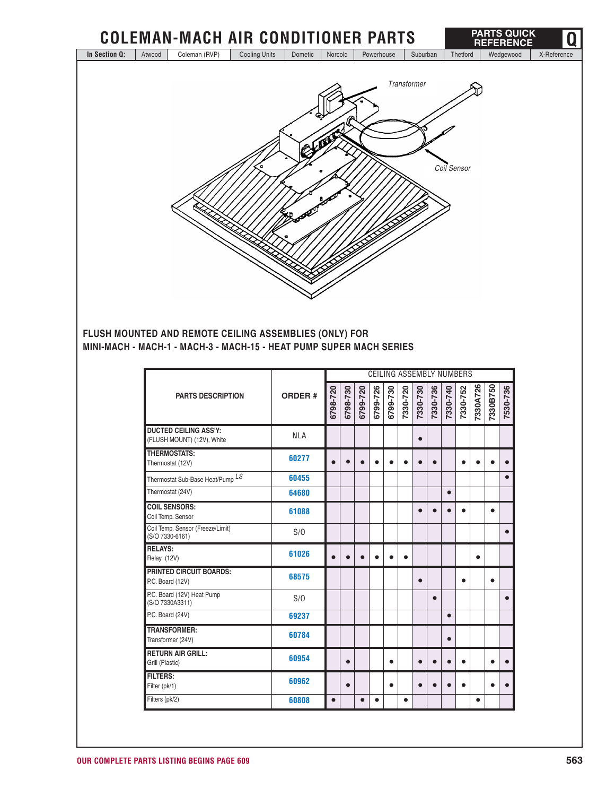

**FLUSH MOUNTED AND REMOTE CEILING ASSEMBLIES (ONLY) FOR MINI-MACH - MACH-1 - MACH-3 - MACH-15 - HEAT PUMP SUPER MACH SERIES**

|                                                            |               |           |          |           |          | CEILING ASSEMBLY NUMBERS |           |           |           |           |          |           |           |           |
|------------------------------------------------------------|---------------|-----------|----------|-----------|----------|--------------------------|-----------|-----------|-----------|-----------|----------|-----------|-----------|-----------|
| <b>PARTS DESCRIPTION</b>                                   | <b>ORDER#</b> | 6798-720  | 6798-730 | 6799-720  | 6799-726 | 6799-730                 | 7330-720  | 7330-730  | 7330-736  | 7330-740  | 7330-752 | 7330A726  | 7330B750  | 7530-736  |
| <b>DUCTED CEILING ASS'Y:</b><br>(FLUSH MOUNT) (12V), White | <b>NLA</b>    |           |          |           |          |                          |           | $\bullet$ |           |           |          |           |           |           |
| THERMOSTATS:<br>Thermostat (12V)                           | 60277         |           |          |           |          |                          |           |           | $\bullet$ |           |          |           |           |           |
| Thermostat Sub-Base Heat/Pump <sup>LS</sup>                | 60455         |           |          |           |          |                          |           |           |           |           |          |           |           |           |
| Thermostat (24V)                                           | 64680         |           |          |           |          |                          |           |           |           | $\bullet$ |          |           |           |           |
| <b>COIL SENSORS:</b><br>Coil Temp. Sensor                  | 61088         |           |          |           |          |                          |           |           |           |           |          |           | $\bullet$ |           |
| Coil Temp. Sensor (Freeze/Limit)<br>(S/O 7330-6161)        | S/O           |           |          |           |          |                          |           |           |           |           |          |           |           | $\bullet$ |
| <b>RELAYS:</b><br>Relay (12V)                              | 61026         |           |          |           |          |                          | $\bullet$ |           |           |           |          | $\bullet$ |           |           |
| <b>PRINTED CIRCUIT BOARDS:</b><br>P.C. Board (12V)         | 68575         |           |          |           |          |                          |           | $\bullet$ |           |           |          |           | $\bullet$ |           |
| P.C. Board (12V) Heat Pump<br>(S/O 7330A3311)              | S/O           |           |          |           |          |                          |           |           | $\bullet$ |           |          |           |           |           |
| P.C. Board (24V)                                           | 69237         |           |          |           |          |                          |           |           |           | $\bullet$ |          |           |           |           |
| <b>TRANSFORMER:</b><br>Transformer (24V)                   | 60784         |           |          |           |          |                          |           |           |           | $\bullet$ |          |           |           |           |
| <b>RETURN AIR GRILL:</b><br>Grill (Plastic)                | 60954         |           |          |           |          | $\bullet$                |           | e         |           |           |          |           |           |           |
| <b>FILTERS:</b><br>Filter (pk/1)                           | 60962         |           |          |           |          | $\bullet$                |           |           |           |           |          |           |           |           |
| Filters (pk/2)                                             | 60808         | $\bullet$ |          | $\bullet$ | ●        |                          | $\bullet$ |           |           |           |          | $\bullet$ |           |           |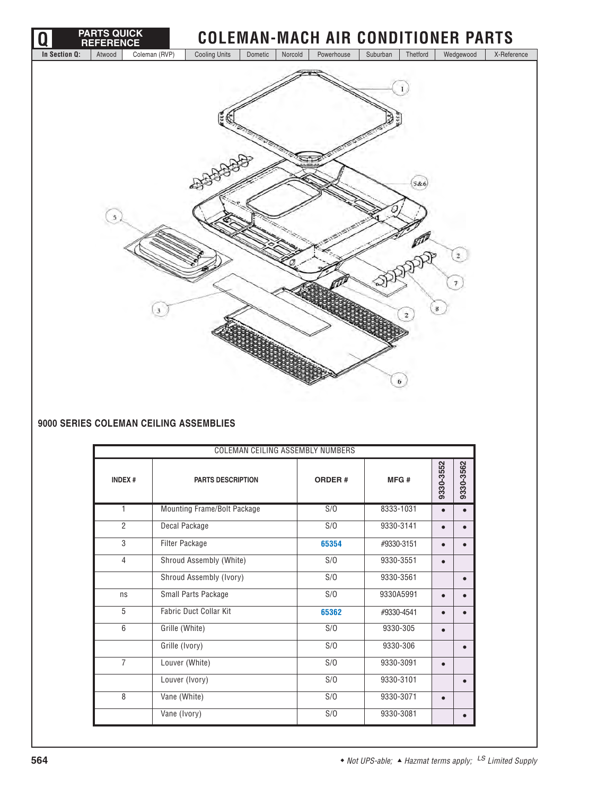

### **9000 SERIES COLEMAN CEILING ASSEMBLIES**

| <b>COLEMAN CEILING ASSEMBLY NUMBERS</b> |                               |               |            |           |           |  |  |  |  |  |  |
|-----------------------------------------|-------------------------------|---------------|------------|-----------|-----------|--|--|--|--|--|--|
| <b>INDEX#</b>                           | <b>PARTS DESCRIPTION</b>      | <b>ORDER#</b> | MFG#       | 9330-3552 | 9330-3562 |  |  |  |  |  |  |
| 1                                       | Mounting Frame/Bolt Package   | S/O           | 8333-1031  |           |           |  |  |  |  |  |  |
| $\overline{2}$                          | Decal Package                 | S/O           | 9330-3141  |           |           |  |  |  |  |  |  |
| 3                                       | <b>Filter Package</b>         | 65354         | #9330-3151 |           |           |  |  |  |  |  |  |
| $\overline{4}$                          | Shroud Assembly (White)       | S/O           | 9330-3551  | $\bullet$ |           |  |  |  |  |  |  |
|                                         | Shroud Assembly (Ivory)       | S/O           | 9330-3561  |           |           |  |  |  |  |  |  |
| ns                                      | Small Parts Package           | S/O           | 9330A5991  |           |           |  |  |  |  |  |  |
| 5                                       | <b>Fabric Duct Collar Kit</b> | 65362         | #9330-4541 |           |           |  |  |  |  |  |  |
| 6                                       | Grille (White)                | S/O           | 9330-305   |           |           |  |  |  |  |  |  |
|                                         | Grille (Ivory)                | S/O           | 9330-306   |           |           |  |  |  |  |  |  |
| $\overline{7}$                          | Louver (White)                | S/O           | 9330-3091  | $\bullet$ |           |  |  |  |  |  |  |
|                                         | Louver (Ivory)                | S/O           | 9330-3101  |           |           |  |  |  |  |  |  |
| 8                                       | Vane (White)                  | S/O           | 9330-3071  | $\bullet$ |           |  |  |  |  |  |  |
|                                         | Vane (Ivory)                  | S/O           | 9330-3081  |           |           |  |  |  |  |  |  |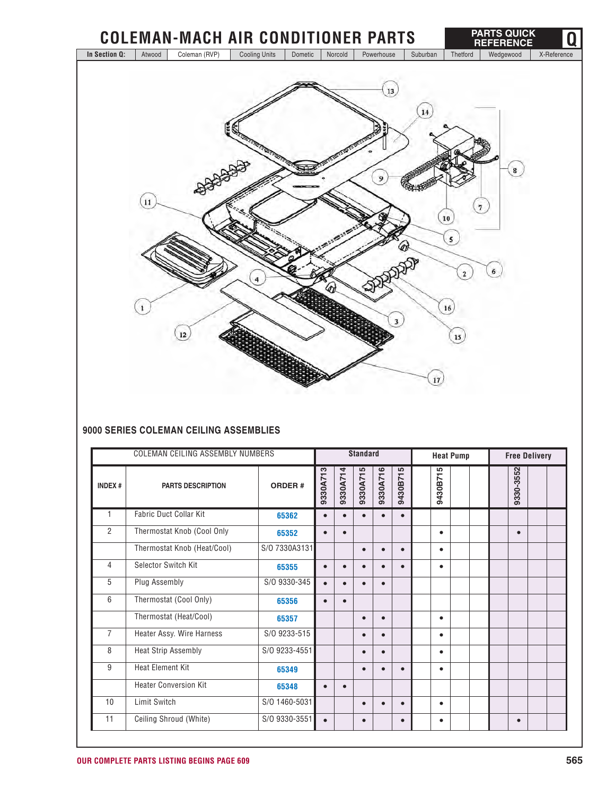

### **9000 SERIES COLEMAN CEILING ASSEMBLIES**

| <b>COLEMAN CEILING ASSEMBLY NUMBERS</b> |                               |               |           | <b>Standard</b> |           |           |           |  | <b>Heat Pump</b> |  |  |  | <b>Free Delivery</b> |  |  |  |
|-----------------------------------------|-------------------------------|---------------|-----------|-----------------|-----------|-----------|-----------|--|------------------|--|--|--|----------------------|--|--|--|
| <b>INDEX#</b>                           | <b>PARTS DESCRIPTION</b>      | <b>ORDER#</b> | 9330A713  | 9330A714        | 9330A715  | 9330A716  | 9430B715  |  | 9430B715         |  |  |  | 330-3552<br>െ        |  |  |  |
| 1                                       | <b>Fabric Duct Collar Kit</b> | 65362         | $\bullet$ | $\bullet$       |           |           | $\bullet$ |  |                  |  |  |  |                      |  |  |  |
| $\overline{2}$                          | Thermostat Knob (Cool Only    | 65352         |           | $\bullet$       |           |           |           |  | $\bullet$        |  |  |  | $\bullet$            |  |  |  |
|                                         | Thermostat Knob (Heat/Cool)   | S/O 7330A3131 |           |                 | $\bullet$ | $\bullet$ | $\bullet$ |  | $\bullet$        |  |  |  |                      |  |  |  |
| 4                                       | Selector Switch Kit           | 65355         |           |                 |           |           |           |  | $\bullet$        |  |  |  |                      |  |  |  |
| 5                                       | Plug Assembly                 | S/O 9330-345  | $\bullet$ | $\bullet$       |           | $\bullet$ |           |  |                  |  |  |  |                      |  |  |  |
| 6                                       | Thermostat (Cool Only)        | 65356         | $\bullet$ | $\bullet$       |           |           |           |  |                  |  |  |  |                      |  |  |  |
|                                         | Thermostat (Heat/Cool)        | 65357         |           |                 | $\bullet$ | $\bullet$ |           |  | $\bullet$        |  |  |  |                      |  |  |  |
| $\overline{7}$                          | Heater Assy. Wire Harness     | S/O 9233-515  |           |                 | $\bullet$ | $\bullet$ |           |  | $\bullet$        |  |  |  |                      |  |  |  |
| 8                                       | <b>Heat Strip Assembly</b>    | S/O 9233-4551 |           |                 |           | $\bullet$ |           |  | $\bullet$        |  |  |  |                      |  |  |  |
| 9                                       | <b>Heat Element Kit</b>       | 65349         |           |                 |           |           |           |  | $\bullet$        |  |  |  |                      |  |  |  |
|                                         | <b>Heater Conversion Kit</b>  | 65348         |           | $\bullet$       |           |           |           |  |                  |  |  |  |                      |  |  |  |
| 10                                      | <b>Limit Switch</b>           | S/O 1460-5031 |           |                 | $\bullet$ | $\bullet$ | $\bullet$ |  | $\bullet$        |  |  |  |                      |  |  |  |
| 11                                      | Ceiling Shroud (White)        | S/O 9330-3551 | $\bullet$ |                 | $\bullet$ |           | $\bullet$ |  | $\bullet$        |  |  |  | $\bullet$            |  |  |  |